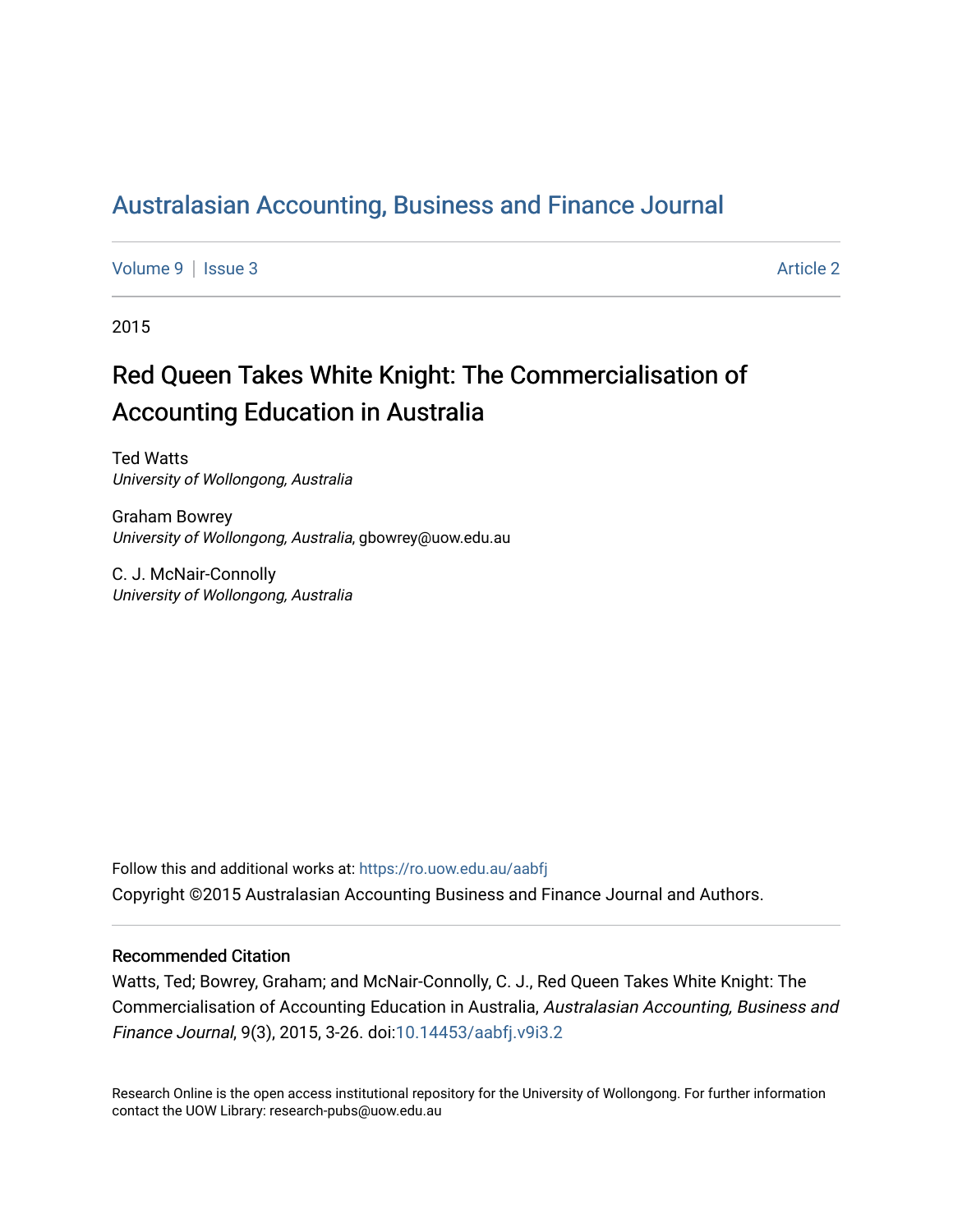## [Australasian Accounting, Business and Finance Journal](https://ro.uow.edu.au/aabfj)

[Volume 9](https://ro.uow.edu.au/aabfj/vol9) | [Issue 3](https://ro.uow.edu.au/aabfj/vol9/iss3) Article 2

2015

# Red Queen Takes White Knight: The Commercialisation of Accounting Education in Australia

Ted Watts University of Wollongong, Australia

Graham Bowrey University of Wollongong, Australia, gbowrey@uow.edu.au

C. J. McNair-Connolly University of Wollongong, Australia

Follow this and additional works at: [https://ro.uow.edu.au/aabfj](https://ro.uow.edu.au/aabfj?utm_source=ro.uow.edu.au%2Faabfj%2Fvol9%2Fiss3%2F2&utm_medium=PDF&utm_campaign=PDFCoverPages) Copyright ©2015 Australasian Accounting Business and Finance Journal and Authors.

#### Recommended Citation

Watts, Ted; Bowrey, Graham; and McNair-Connolly, C. J., Red Queen Takes White Knight: The Commercialisation of Accounting Education in Australia, Australasian Accounting, Business and Finance Journal, 9(3), 2015, 3-26. doi[:10.14453/aabfj.v9i3.2](http://dx.doi.org/10.14453/aabfj.v9i3.2) 

Research Online is the open access institutional repository for the University of Wollongong. For further information contact the UOW Library: research-pubs@uow.edu.au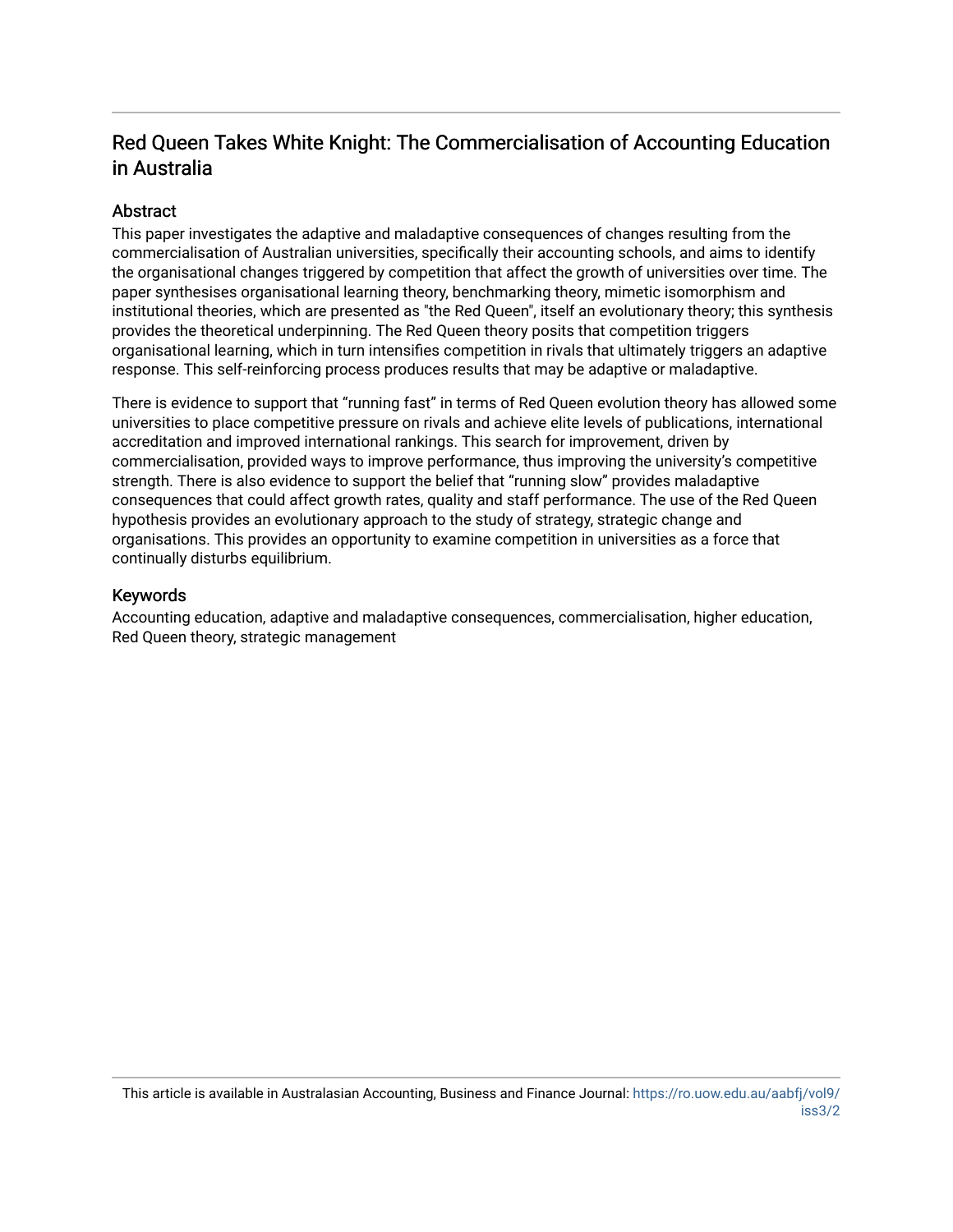### Red Queen Takes White Knight: The Commercialisation of Accounting Education in Australia

#### **Abstract**

This paper investigates the adaptive and maladaptive consequences of changes resulting from the commercialisation of Australian universities, specifically their accounting schools, and aims to identify the organisational changes triggered by competition that affect the growth of universities over time. The paper synthesises organisational learning theory, benchmarking theory, mimetic isomorphism and institutional theories, which are presented as "the Red Queen", itself an evolutionary theory; this synthesis provides the theoretical underpinning. The Red Queen theory posits that competition triggers organisational learning, which in turn intensifies competition in rivals that ultimately triggers an adaptive response. This self-reinforcing process produces results that may be adaptive or maladaptive.

There is evidence to support that "running fast" in terms of Red Queen evolution theory has allowed some universities to place competitive pressure on rivals and achieve elite levels of publications, international accreditation and improved international rankings. This search for improvement, driven by commercialisation, provided ways to improve performance, thus improving the university's competitive strength. There is also evidence to support the belief that "running slow" provides maladaptive consequences that could affect growth rates, quality and staff performance. The use of the Red Queen hypothesis provides an evolutionary approach to the study of strategy, strategic change and organisations. This provides an opportunity to examine competition in universities as a force that continually disturbs equilibrium.

#### Keywords

Accounting education, adaptive and maladaptive consequences, commercialisation, higher education, Red Queen theory, strategic management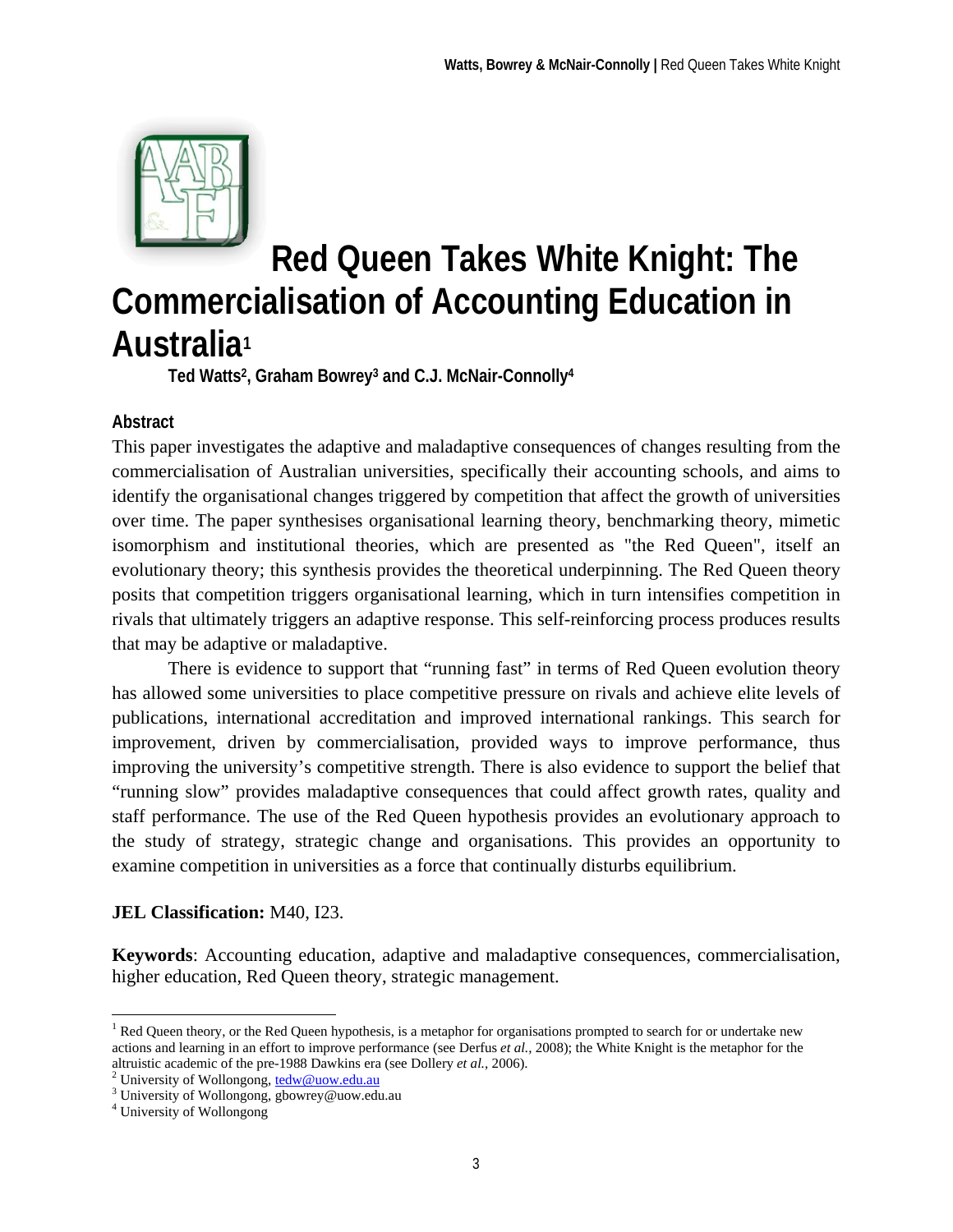

# **Red Queen Takes White Knight: The Commercialisation of Accounting Education in Australia1**

**Ted Watts2, Graham Bowrey3 and C.J. McNair-Connolly4**

#### **Abstract**

This paper investigates the adaptive and maladaptive consequences of changes resulting from the commercialisation of Australian universities, specifically their accounting schools, and aims to identify the organisational changes triggered by competition that affect the growth of universities over time. The paper synthesises organisational learning theory, benchmarking theory, mimetic isomorphism and institutional theories, which are presented as "the Red Queen", itself an evolutionary theory; this synthesis provides the theoretical underpinning. The Red Queen theory posits that competition triggers organisational learning, which in turn intensifies competition in rivals that ultimately triggers an adaptive response. This self-reinforcing process produces results that may be adaptive or maladaptive.

There is evidence to support that "running fast" in terms of Red Queen evolution theory has allowed some universities to place competitive pressure on rivals and achieve elite levels of publications, international accreditation and improved international rankings. This search for improvement, driven by commercialisation, provided ways to improve performance, thus improving the university's competitive strength. There is also evidence to support the belief that "running slow" provides maladaptive consequences that could affect growth rates, quality and staff performance. The use of the Red Queen hypothesis provides an evolutionary approach to the study of strategy, strategic change and organisations. This provides an opportunity to examine competition in universities as a force that continually disturbs equilibrium.

#### **JEL Classification:** M40, I23.

**Keywords**: Accounting education, adaptive and maladaptive consequences, commercialisation, higher education, Red Queen theory, strategic management.

1

<sup>&</sup>lt;sup>1</sup> Red Queen theory, or the Red Queen hypothesis, is a metaphor for organisations prompted to search for or undertake new actions and learning in an effort to improve performance (see Derfus *et al.,* 2008); the White Knight is the metaphor for the altruistic academic of the pre-1988 Dawkins era (see Dollery *et al.,* 2006). 2

<sup>&</sup>lt;sup>2</sup> University of Wollongong,  $tedw@uow.edu.au$ </u>

University of Wollongong, gbowrey@uow.edu.au

<sup>4</sup> University of Wollongong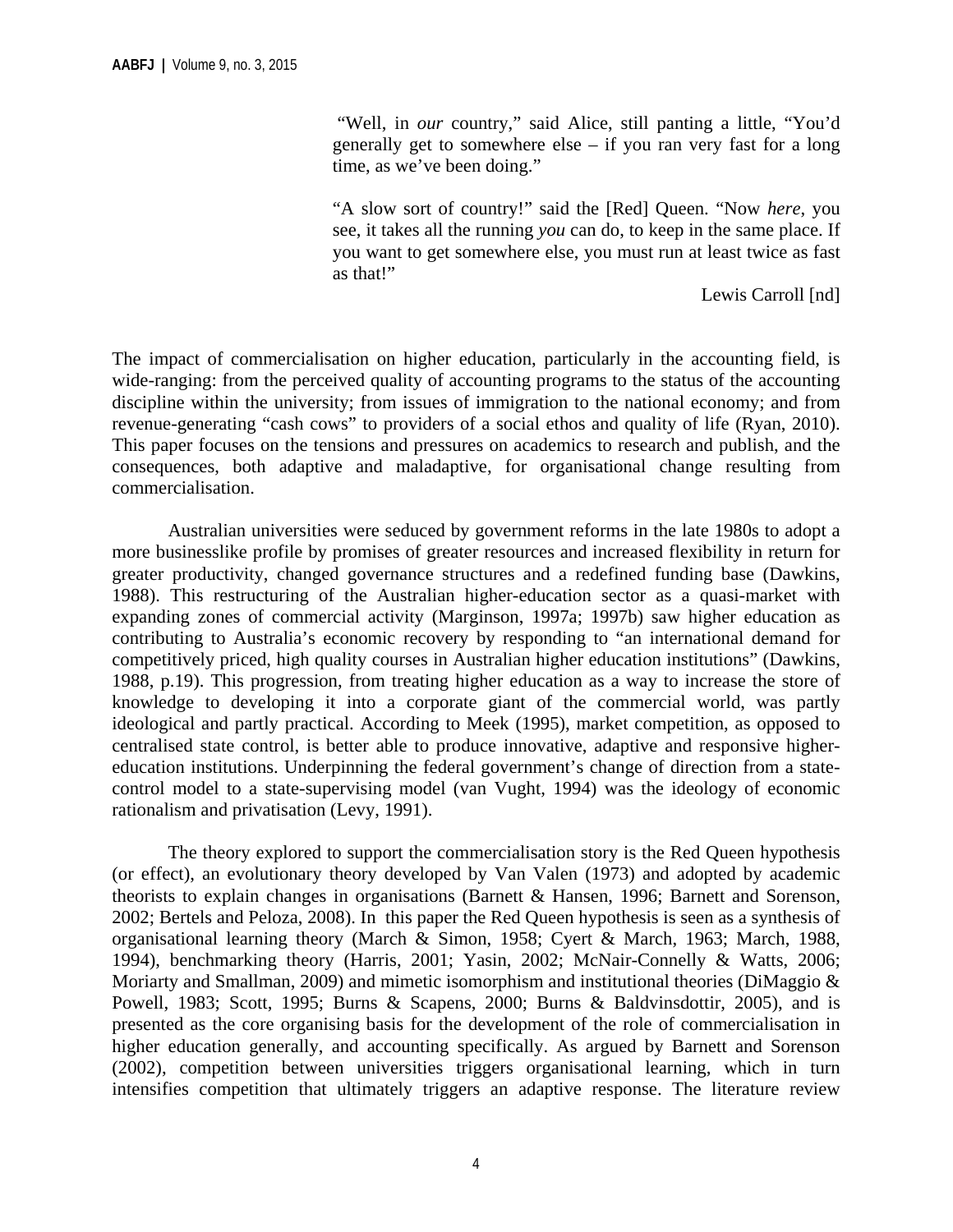"Well, in *our* country," said Alice, still panting a little, "You'd generally get to somewhere else – if you ran very fast for a long time, as we've been doing."

"A slow sort of country!" said the [Red] Queen. "Now *here*, you see, it takes all the running *you* can do, to keep in the same place. If you want to get somewhere else, you must run at least twice as fast as that!"

Lewis Carroll [nd]

The impact of commercialisation on higher education, particularly in the accounting field, is wide-ranging: from the perceived quality of accounting programs to the status of the accounting discipline within the university; from issues of immigration to the national economy; and from revenue-generating "cash cows" to providers of a social ethos and quality of life (Ryan, 2010). This paper focuses on the tensions and pressures on academics to research and publish, and the consequences, both adaptive and maladaptive, for organisational change resulting from commercialisation.

Australian universities were seduced by government reforms in the late 1980s to adopt a more businesslike profile by promises of greater resources and increased flexibility in return for greater productivity, changed governance structures and a redefined funding base (Dawkins, 1988). This restructuring of the Australian higher-education sector as a quasi-market with expanding zones of commercial activity (Marginson, 1997a; 1997b) saw higher education as contributing to Australia's economic recovery by responding to "an international demand for competitively priced, high quality courses in Australian higher education institutions" (Dawkins, 1988, p.19). This progression, from treating higher education as a way to increase the store of knowledge to developing it into a corporate giant of the commercial world, was partly ideological and partly practical. According to Meek (1995), market competition, as opposed to centralised state control, is better able to produce innovative, adaptive and responsive highereducation institutions. Underpinning the federal government's change of direction from a statecontrol model to a state-supervising model (van Vught, 1994) was the ideology of economic rationalism and privatisation (Levy, 1991).

The theory explored to support the commercialisation story is the Red Queen hypothesis (or effect), an evolutionary theory developed by Van Valen (1973) and adopted by academic theorists to explain changes in organisations (Barnett & Hansen, 1996; Barnett and Sorenson, 2002; Bertels and Peloza, 2008). In this paper the Red Queen hypothesis is seen as a synthesis of organisational learning theory (March & Simon, 1958; Cyert & March, 1963; March, 1988, 1994), benchmarking theory (Harris, 2001; Yasin, 2002; McNair-Connelly & Watts, 2006; Moriarty and Smallman, 2009) and mimetic isomorphism and institutional theories (DiMaggio & Powell, 1983; Scott, 1995; Burns & Scapens, 2000; Burns & Baldvinsdottir, 2005), and is presented as the core organising basis for the development of the role of commercialisation in higher education generally, and accounting specifically. As argued by Barnett and Sorenson (2002), competition between universities triggers organisational learning, which in turn intensifies competition that ultimately triggers an adaptive response. The literature review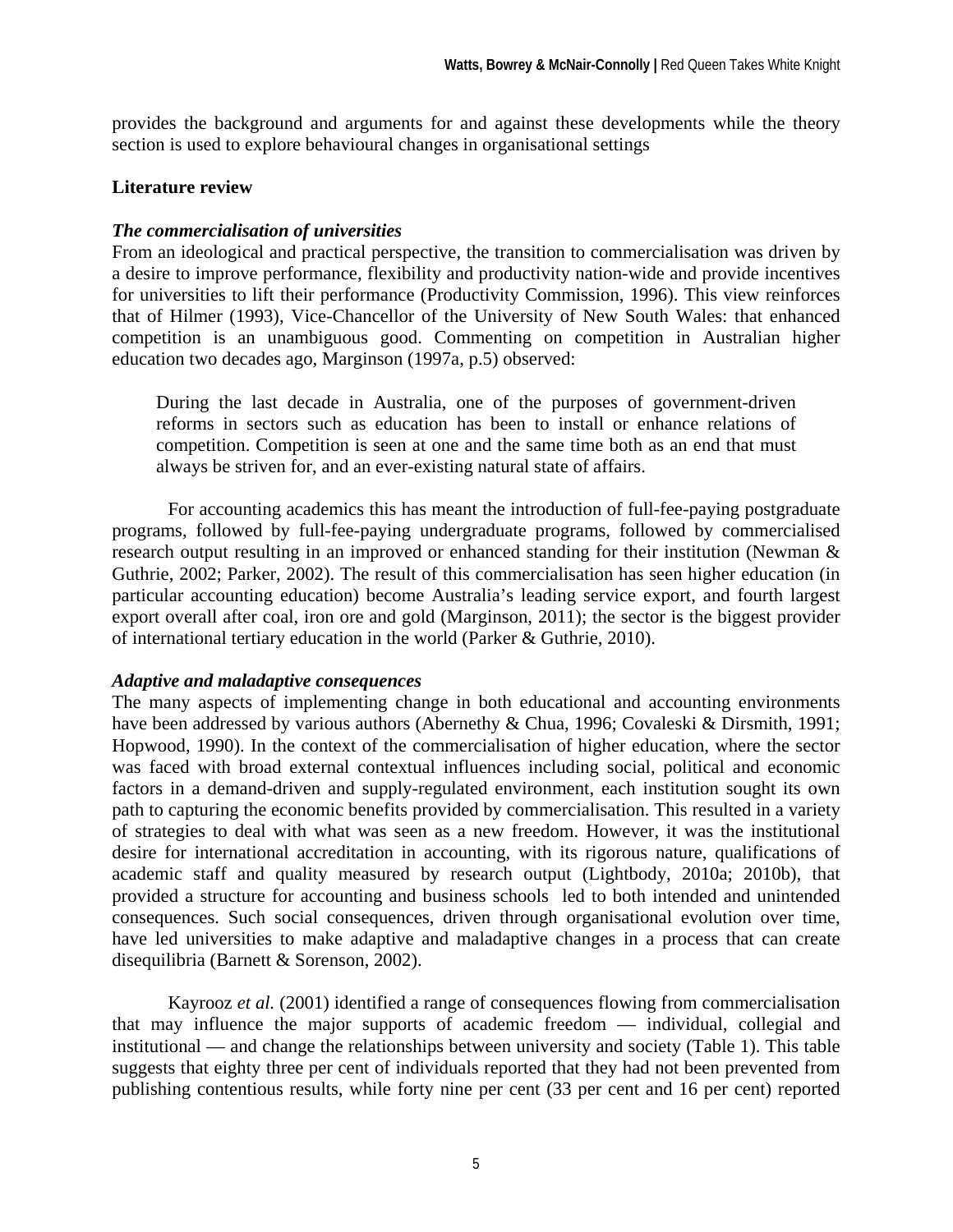provides the background and arguments for and against these developments while the theory section is used to explore behavioural changes in organisational settings

#### **Literature review**

#### *The commercialisation of universities*

From an ideological and practical perspective, the transition to commercialisation was driven by a desire to improve performance, flexibility and productivity nation-wide and provide incentives for universities to lift their performance (Productivity Commission, 1996). This view reinforces that of Hilmer (1993), Vice-Chancellor of the University of New South Wales: that enhanced competition is an unambiguous good. Commenting on competition in Australian higher education two decades ago, Marginson (1997a, p.5) observed:

During the last decade in Australia, one of the purposes of government-driven reforms in sectors such as education has been to install or enhance relations of competition. Competition is seen at one and the same time both as an end that must always be striven for, and an ever-existing natural state of affairs.

For accounting academics this has meant the introduction of full-fee-paying postgraduate programs, followed by full-fee-paying undergraduate programs, followed by commercialised research output resulting in an improved or enhanced standing for their institution (Newman & Guthrie, 2002; Parker, 2002). The result of this commercialisation has seen higher education (in particular accounting education) become Australia's leading service export, and fourth largest export overall after coal, iron ore and gold (Marginson, 2011); the sector is the biggest provider of international tertiary education in the world (Parker & Guthrie, 2010).

#### *Adaptive and maladaptive consequences*

The many aspects of implementing change in both educational and accounting environments have been addressed by various authors (Abernethy & Chua, 1996; Covaleski & Dirsmith, 1991; Hopwood, 1990). In the context of the commercialisation of higher education, where the sector was faced with broad external contextual influences including social, political and economic factors in a demand-driven and supply-regulated environment, each institution sought its own path to capturing the economic benefits provided by commercialisation. This resulted in a variety of strategies to deal with what was seen as a new freedom. However, it was the institutional desire for international accreditation in accounting, with its rigorous nature, qualifications of academic staff and quality measured by research output (Lightbody, 2010a; 2010b), that provided a structure for accounting and business schools led to both intended and unintended consequences. Such social consequences, driven through organisational evolution over time, have led universities to make adaptive and maladaptive changes in a process that can create disequilibria (Barnett & Sorenson, 2002).

 Kayrooz *et al.* (2001) identified a range of consequences flowing from commercialisation that may influence the major supports of academic freedom — individual, collegial and institutional — and change the relationships between university and society (Table 1). This table suggests that eighty three per cent of individuals reported that they had not been prevented from publishing contentious results, while forty nine per cent (33 per cent and 16 per cent) reported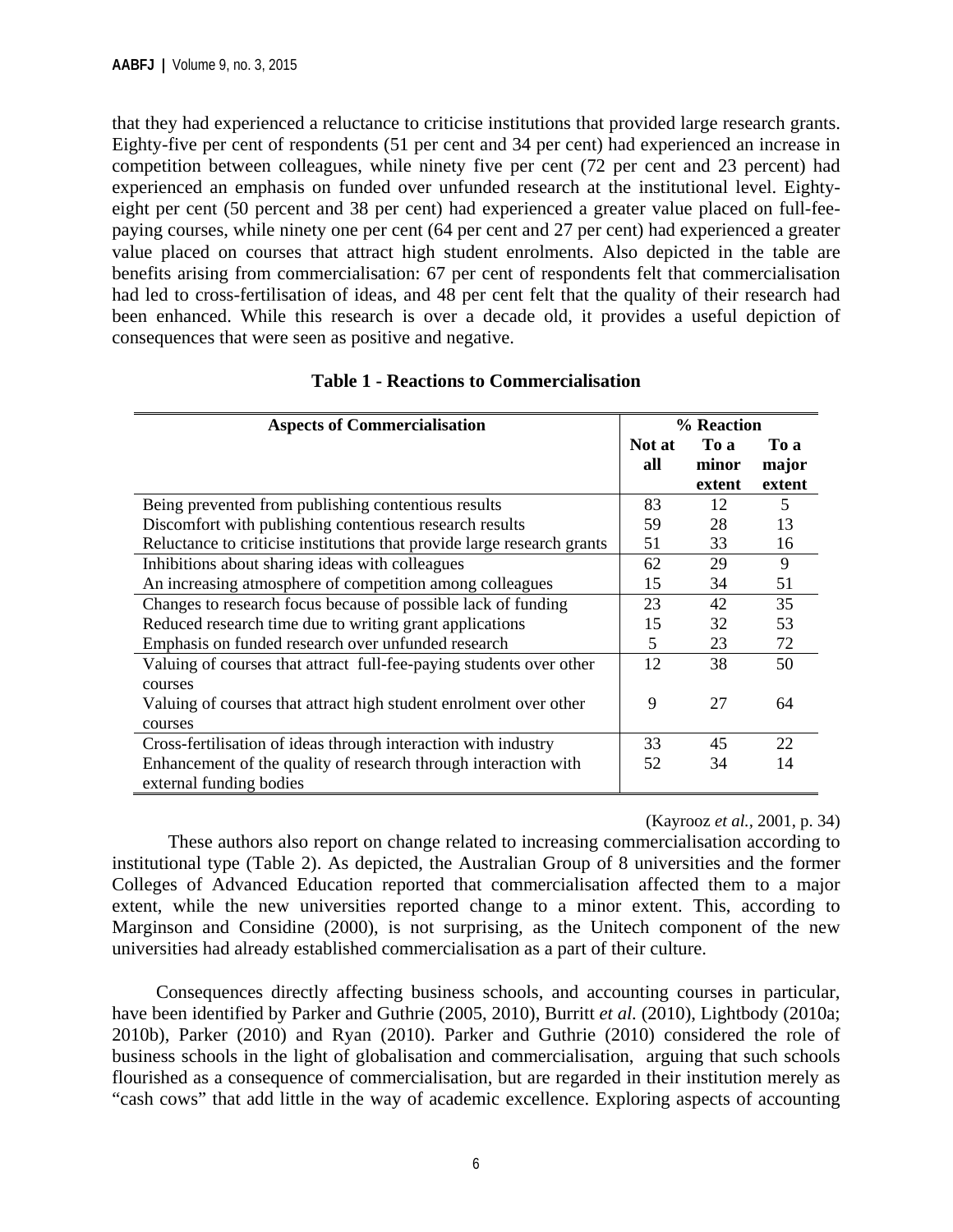that they had experienced a reluctance to criticise institutions that provided large research grants. Eighty-five per cent of respondents (51 per cent and 34 per cent) had experienced an increase in competition between colleagues, while ninety five per cent (72 per cent and 23 percent) had experienced an emphasis on funded over unfunded research at the institutional level. Eightyeight per cent (50 percent and 38 per cent) had experienced a greater value placed on full-feepaying courses, while ninety one per cent (64 per cent and 27 per cent) had experienced a greater value placed on courses that attract high student enrolments. Also depicted in the table are benefits arising from commercialisation: 67 per cent of respondents felt that commercialisation had led to cross-fertilisation of ideas, and 48 per cent felt that the quality of their research had been enhanced. While this research is over a decade old, it provides a useful depiction of consequences that were seen as positive and negative.

| <b>Aspects of Commercialisation</b>                                     |        | % Reaction |        |
|-------------------------------------------------------------------------|--------|------------|--------|
|                                                                         | Not at | To a       | To a   |
|                                                                         | all    | minor      | major  |
|                                                                         |        | extent     | extent |
| Being prevented from publishing contentious results                     | 83     | 12         | 5      |
| Discomfort with publishing contentious research results                 | 59     | 28         | 13     |
| Reluctance to criticise institutions that provide large research grants | 51     | 33         | 16     |
| Inhibitions about sharing ideas with colleagues                         | 62     | 29         | 9      |
| An increasing atmosphere of competition among colleagues                | 15     | 34         | 51     |
| Changes to research focus because of possible lack of funding           | 23     | 42         | 35     |
| Reduced research time due to writing grant applications                 | 15     | 32         | 53     |
| Emphasis on funded research over unfunded research                      | 5      | 23         | 72     |
| Valuing of courses that attract full-fee-paying students over other     | 12     | 38         | 50     |
| courses                                                                 |        |            |        |
| Valuing of courses that attract high student enrolment over other       | 9      | 27         | 64     |
| courses                                                                 |        |            |        |
| Cross-fertilisation of ideas through interaction with industry          | 33     | 45         | 22     |
| Enhancement of the quality of research through interaction with         | 52     | 34         | 14     |
| external funding bodies                                                 |        |            |        |

#### **Table 1 - Reactions to Commercialisation**

#### (Kayrooz *et al.,* 2001, p. 34)

These authors also report on change related to increasing commercialisation according to institutional type (Table 2). As depicted, the Australian Group of 8 universities and the former Colleges of Advanced Education reported that commercialisation affected them to a major extent, while the new universities reported change to a minor extent. This, according to Marginson and Considine (2000), is not surprising, as the Unitech component of the new universities had already established commercialisation as a part of their culture.

Consequences directly affecting business schools, and accounting courses in particular, have been identified by Parker and Guthrie (2005, 2010), Burritt *et al.* (2010), Lightbody (2010a; 2010b), Parker (2010) and Ryan (2010). Parker and Guthrie (2010) considered the role of business schools in the light of globalisation and commercialisation, arguing that such schools flourished as a consequence of commercialisation, but are regarded in their institution merely as "cash cows" that add little in the way of academic excellence. Exploring aspects of accounting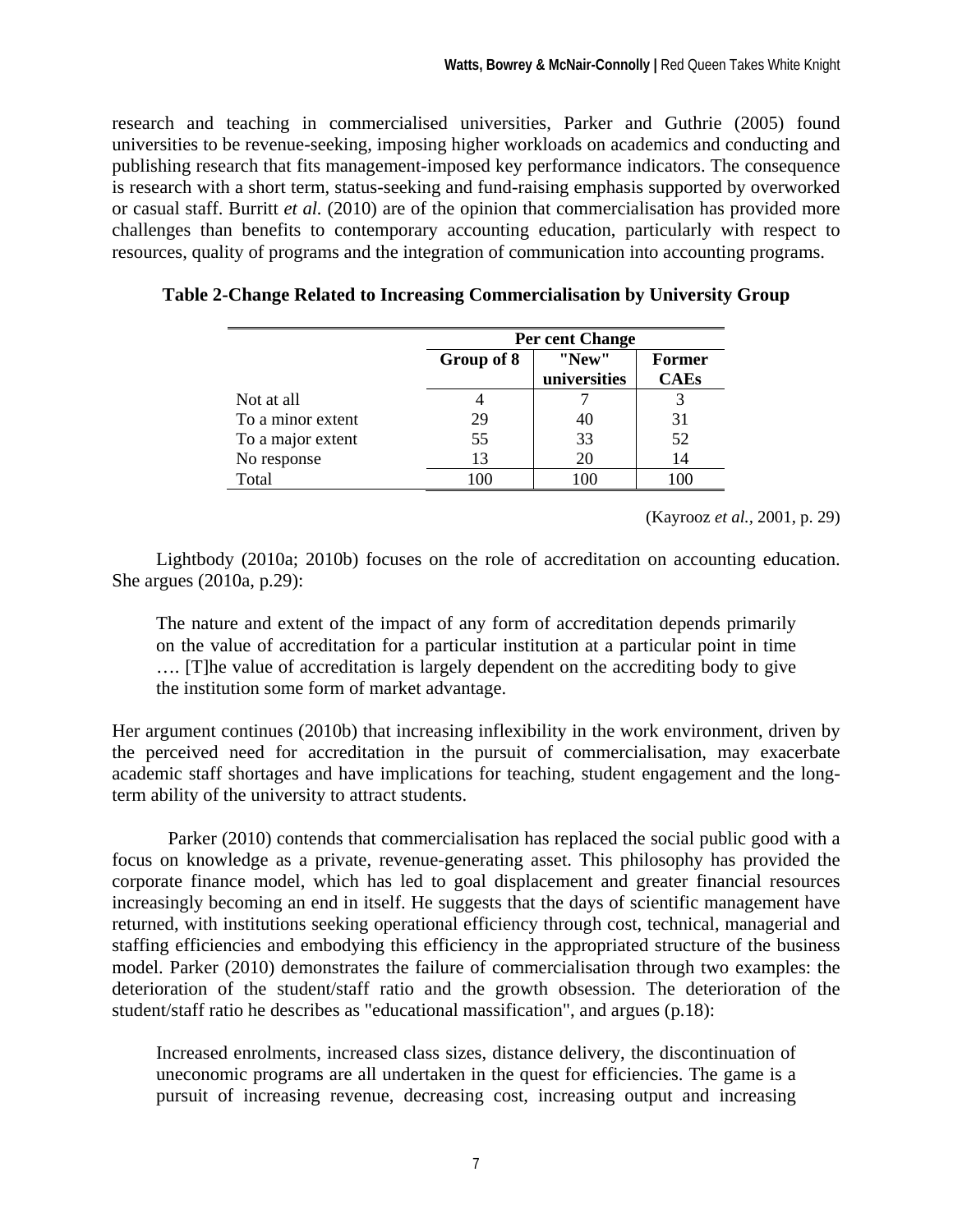research and teaching in commercialised universities, Parker and Guthrie (2005) found universities to be revenue-seeking, imposing higher workloads on academics and conducting and publishing research that fits management-imposed key performance indicators. The consequence is research with a short term, status-seeking and fund-raising emphasis supported by overworked or casual staff. Burritt *et al.* (2010) are of the opinion that commercialisation has provided more challenges than benefits to contemporary accounting education, particularly with respect to resources, quality of programs and the integration of communication into accounting programs.

|                   |            | Per cent Change       |                       |  |  |  |  |  |
|-------------------|------------|-----------------------|-----------------------|--|--|--|--|--|
|                   | Group of 8 | "New"<br>universities | Former<br><b>CAEs</b> |  |  |  |  |  |
| Not at all        |            |                       |                       |  |  |  |  |  |
| To a minor extent | 29         | 40                    | 31                    |  |  |  |  |  |
| To a major extent | 55         | 33                    | 52                    |  |  |  |  |  |
| No response       | 13         | 20                    | 14                    |  |  |  |  |  |
| Total             | 1 O C      | 10C                   |                       |  |  |  |  |  |

|  | Table 2-Change Related to Increasing Commercialisation by University Group |  |  |  |
|--|----------------------------------------------------------------------------|--|--|--|
|  |                                                                            |  |  |  |
|  |                                                                            |  |  |  |
|  |                                                                            |  |  |  |

(Kayrooz *et al.,* 2001, p. 29)

Lightbody (2010a; 2010b) focuses on the role of accreditation on accounting education. She argues (2010a, p.29):

The nature and extent of the impact of any form of accreditation depends primarily on the value of accreditation for a particular institution at a particular point in time …. [T]he value of accreditation is largely dependent on the accrediting body to give the institution some form of market advantage.

Her argument continues (2010b) that increasing inflexibility in the work environment, driven by the perceived need for accreditation in the pursuit of commercialisation, may exacerbate academic staff shortages and have implications for teaching, student engagement and the longterm ability of the university to attract students.

 Parker (2010) contends that commercialisation has replaced the social public good with a focus on knowledge as a private, revenue-generating asset. This philosophy has provided the corporate finance model, which has led to goal displacement and greater financial resources increasingly becoming an end in itself. He suggests that the days of scientific management have returned, with institutions seeking operational efficiency through cost, technical, managerial and staffing efficiencies and embodying this efficiency in the appropriated structure of the business model. Parker (2010) demonstrates the failure of commercialisation through two examples: the deterioration of the student/staff ratio and the growth obsession. The deterioration of the student/staff ratio he describes as "educational massification", and argues (p.18):

Increased enrolments, increased class sizes, distance delivery, the discontinuation of uneconomic programs are all undertaken in the quest for efficiencies. The game is a pursuit of increasing revenue, decreasing cost, increasing output and increasing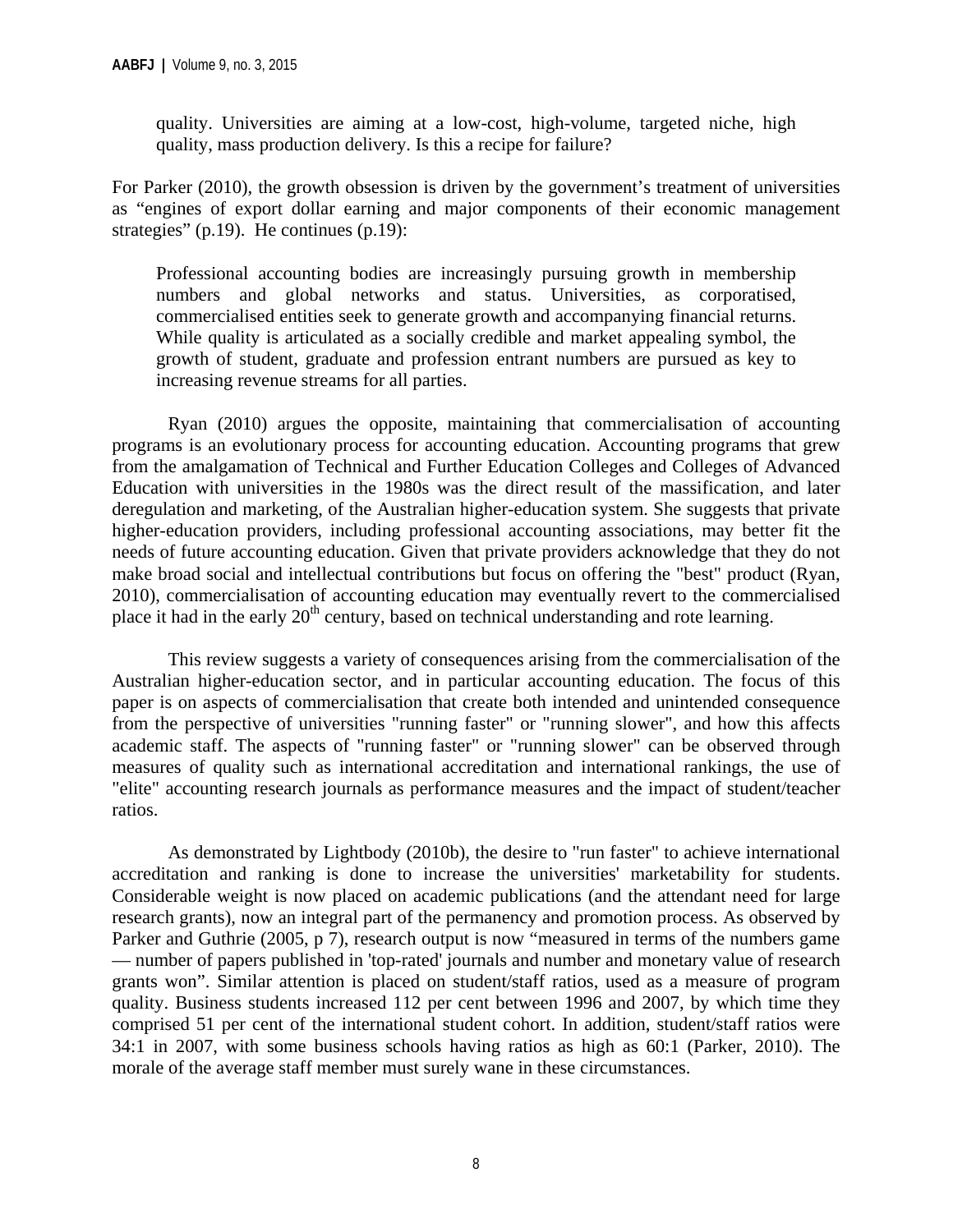quality. Universities are aiming at a low-cost, high-volume, targeted niche, high quality, mass production delivery. Is this a recipe for failure?

For Parker (2010), the growth obsession is driven by the government's treatment of universities as "engines of export dollar earning and major components of their economic management strategies" (p.19). He continues (p.19):

Professional accounting bodies are increasingly pursuing growth in membership numbers and global networks and status. Universities, as corporatised, commercialised entities seek to generate growth and accompanying financial returns. While quality is articulated as a socially credible and market appealing symbol, the growth of student, graduate and profession entrant numbers are pursued as key to increasing revenue streams for all parties.

Ryan (2010) argues the opposite, maintaining that commercialisation of accounting programs is an evolutionary process for accounting education. Accounting programs that grew from the amalgamation of Technical and Further Education Colleges and Colleges of Advanced Education with universities in the 1980s was the direct result of the massification, and later deregulation and marketing, of the Australian higher-education system. She suggests that private higher-education providers, including professional accounting associations, may better fit the needs of future accounting education. Given that private providers acknowledge that they do not make broad social and intellectual contributions but focus on offering the "best" product (Ryan, 2010), commercialisation of accounting education may eventually revert to the commercialised place it had in the early 20<sup>th</sup> century, based on technical understanding and rote learning.

This review suggests a variety of consequences arising from the commercialisation of the Australian higher-education sector, and in particular accounting education. The focus of this paper is on aspects of commercialisation that create both intended and unintended consequence from the perspective of universities "running faster" or "running slower", and how this affects academic staff. The aspects of "running faster" or "running slower" can be observed through measures of quality such as international accreditation and international rankings, the use of "elite" accounting research journals as performance measures and the impact of student/teacher ratios.

 As demonstrated by Lightbody (2010b), the desire to "run faster" to achieve international accreditation and ranking is done to increase the universities' marketability for students. Considerable weight is now placed on academic publications (and the attendant need for large research grants), now an integral part of the permanency and promotion process. As observed by Parker and Guthrie (2005, p 7), research output is now "measured in terms of the numbers game — number of papers published in 'top-rated' journals and number and monetary value of research grants won". Similar attention is placed on student/staff ratios, used as a measure of program quality. Business students increased 112 per cent between 1996 and 2007, by which time they comprised 51 per cent of the international student cohort. In addition, student/staff ratios were 34:1 in 2007, with some business schools having ratios as high as 60:1 (Parker, 2010). The morale of the average staff member must surely wane in these circumstances.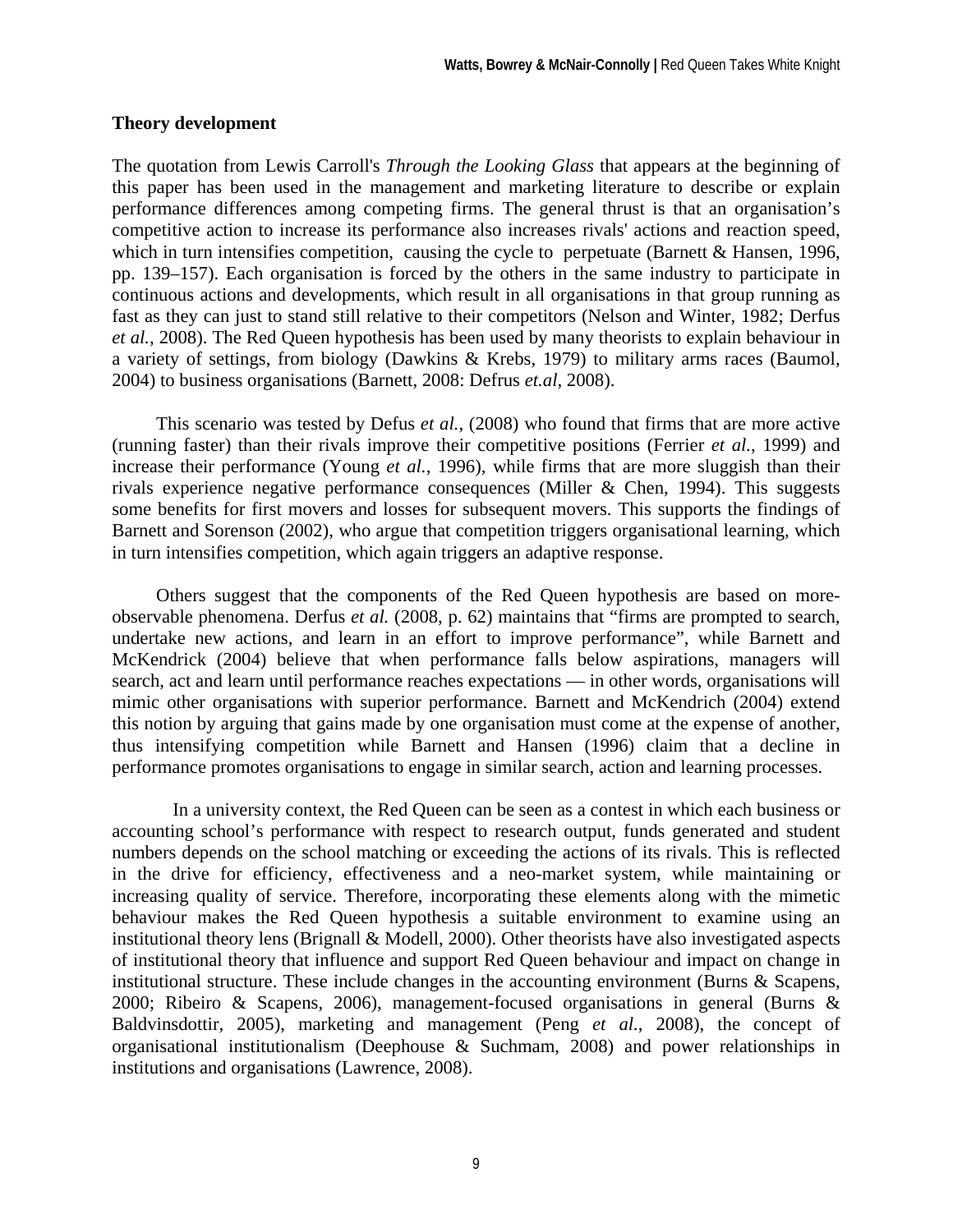#### **Theory development**

The quotation from Lewis Carroll's *Through the Looking Glass* that appears at the beginning of this paper has been used in the management and marketing literature to describe or explain performance differences among competing firms. The general thrust is that an organisation's competitive action to increase its performance also increases rivals' actions and reaction speed, which in turn intensifies competition, causing the cycle to perpetuate (Barnett & Hansen, 1996, pp. 139–157). Each organisation is forced by the others in the same industry to participate in continuous actions and developments, which result in all organisations in that group running as fast as they can just to stand still relative to their competitors (Nelson and Winter, 1982; Derfus *et al.*, 2008). The Red Queen hypothesis has been used by many theorists to explain behaviour in a variety of settings, from biology (Dawkins & Krebs, 1979) to military arms races (Baumol, 2004) to business organisations (Barnett, 2008: Defrus *et.al,* 2008).

This scenario was tested by Defus *et al.*, (2008) who found that firms that are more active (running faster) than their rivals improve their competitive positions (Ferrier *et al.*, 1999) and increase their performance (Young *et al.*, 1996), while firms that are more sluggish than their rivals experience negative performance consequences (Miller & Chen, 1994). This suggests some benefits for first movers and losses for subsequent movers. This supports the findings of Barnett and Sorenson (2002), who argue that competition triggers organisational learning, which in turn intensifies competition, which again triggers an adaptive response.

Others suggest that the components of the Red Queen hypothesis are based on moreobservable phenomena. Derfus *et al.* (2008, p. 62) maintains that "firms are prompted to search, undertake new actions, and learn in an effort to improve performance", while Barnett and McKendrick (2004) believe that when performance falls below aspirations, managers will search, act and learn until performance reaches expectations — in other words, organisations will mimic other organisations with superior performance. Barnett and McKendrich (2004) extend this notion by arguing that gains made by one organisation must come at the expense of another, thus intensifying competition while Barnett and Hansen (1996) claim that a decline in performance promotes organisations to engage in similar search, action and learning processes.

 In a university context, the Red Queen can be seen as a contest in which each business or accounting school's performance with respect to research output, funds generated and student numbers depends on the school matching or exceeding the actions of its rivals. This is reflected in the drive for efficiency, effectiveness and a neo-market system, while maintaining or increasing quality of service. Therefore, incorporating these elements along with the mimetic behaviour makes the Red Queen hypothesis a suitable environment to examine using an institutional theory lens (Brignall & Modell, 2000). Other theorists have also investigated aspects of institutional theory that influence and support Red Queen behaviour and impact on change in institutional structure. These include changes in the accounting environment (Burns & Scapens, 2000; Ribeiro & Scapens, 2006), management-focused organisations in general (Burns & Baldvinsdottir, 2005), marketing and management (Peng *et al.*, 2008), the concept of organisational institutionalism (Deephouse & Suchmam, 2008) and power relationships in institutions and organisations (Lawrence, 2008).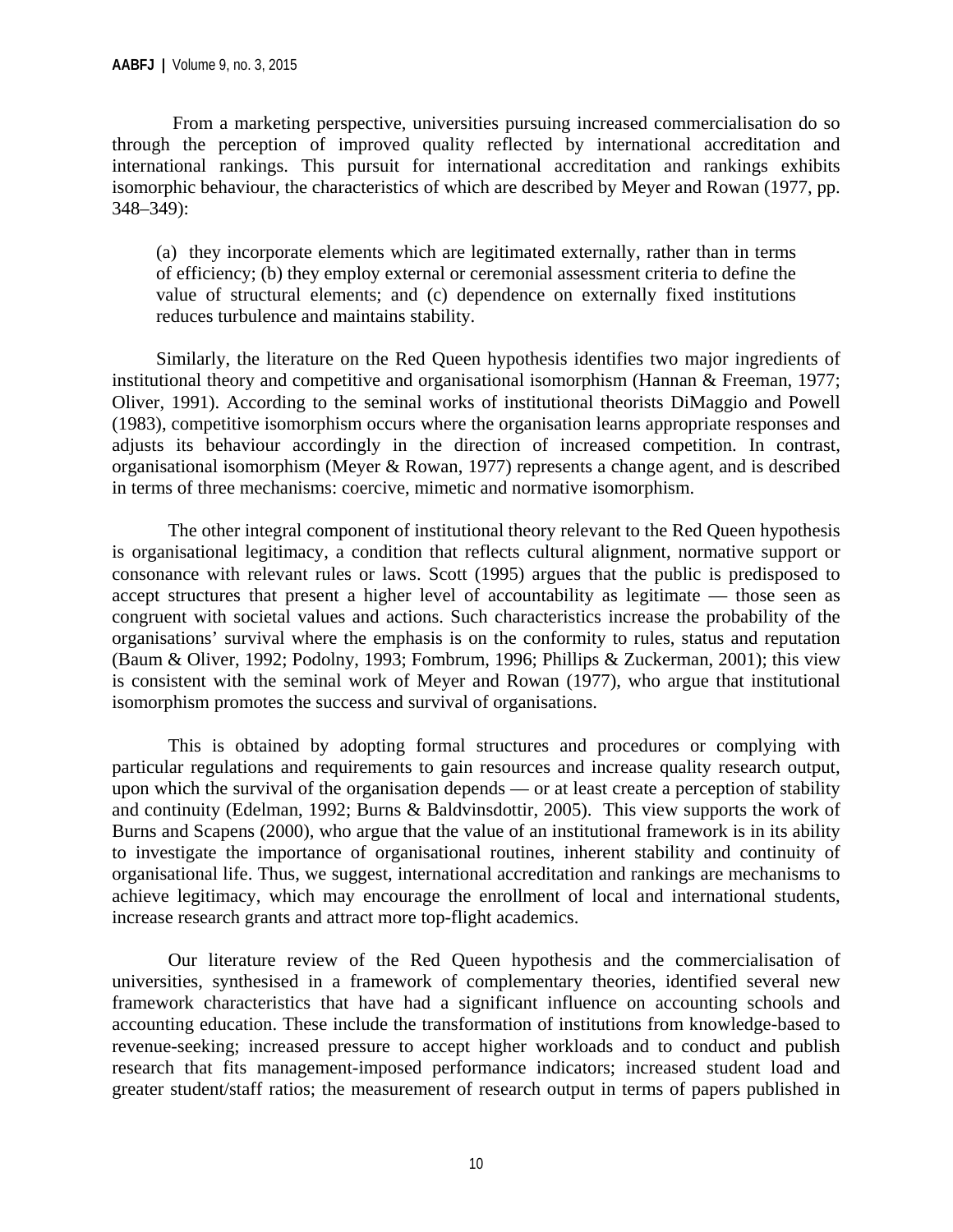From a marketing perspective, universities pursuing increased commercialisation do so through the perception of improved quality reflected by international accreditation and international rankings. This pursuit for international accreditation and rankings exhibits isomorphic behaviour, the characteristics of which are described by Meyer and Rowan (1977, pp. 348–349):

(a) they incorporate elements which are legitimated externally, rather than in terms of efficiency; (b) they employ external or ceremonial assessment criteria to define the value of structural elements; and (c) dependence on externally fixed institutions reduces turbulence and maintains stability.

Similarly, the literature on the Red Queen hypothesis identifies two major ingredients of institutional theory and competitive and organisational isomorphism (Hannan & Freeman, 1977; Oliver, 1991). According to the seminal works of institutional theorists DiMaggio and Powell (1983), competitive isomorphism occurs where the organisation learns appropriate responses and adjusts its behaviour accordingly in the direction of increased competition. In contrast, organisational isomorphism (Meyer & Rowan, 1977) represents a change agent, and is described in terms of three mechanisms: coercive, mimetic and normative isomorphism.

The other integral component of institutional theory relevant to the Red Queen hypothesis is organisational legitimacy, a condition that reflects cultural alignment, normative support or consonance with relevant rules or laws. Scott (1995) argues that the public is predisposed to accept structures that present a higher level of accountability as legitimate — those seen as congruent with societal values and actions. Such characteristics increase the probability of the organisations' survival where the emphasis is on the conformity to rules, status and reputation (Baum & Oliver, 1992; Podolny, 1993; Fombrum, 1996; Phillips & Zuckerman, 2001); this view is consistent with the seminal work of Meyer and Rowan (1977), who argue that institutional isomorphism promotes the success and survival of organisations.

This is obtained by adopting formal structures and procedures or complying with particular regulations and requirements to gain resources and increase quality research output, upon which the survival of the organisation depends — or at least create a perception of stability and continuity (Edelman, 1992; Burns & Baldvinsdottir, 2005). This view supports the work of Burns and Scapens (2000), who argue that the value of an institutional framework is in its ability to investigate the importance of organisational routines, inherent stability and continuity of organisational life. Thus, we suggest, international accreditation and rankings are mechanisms to achieve legitimacy, which may encourage the enrollment of local and international students, increase research grants and attract more top-flight academics.

Our literature review of the Red Queen hypothesis and the commercialisation of universities, synthesised in a framework of complementary theories, identified several new framework characteristics that have had a significant influence on accounting schools and accounting education. These include the transformation of institutions from knowledge-based to revenue-seeking; increased pressure to accept higher workloads and to conduct and publish research that fits management-imposed performance indicators; increased student load and greater student/staff ratios; the measurement of research output in terms of papers published in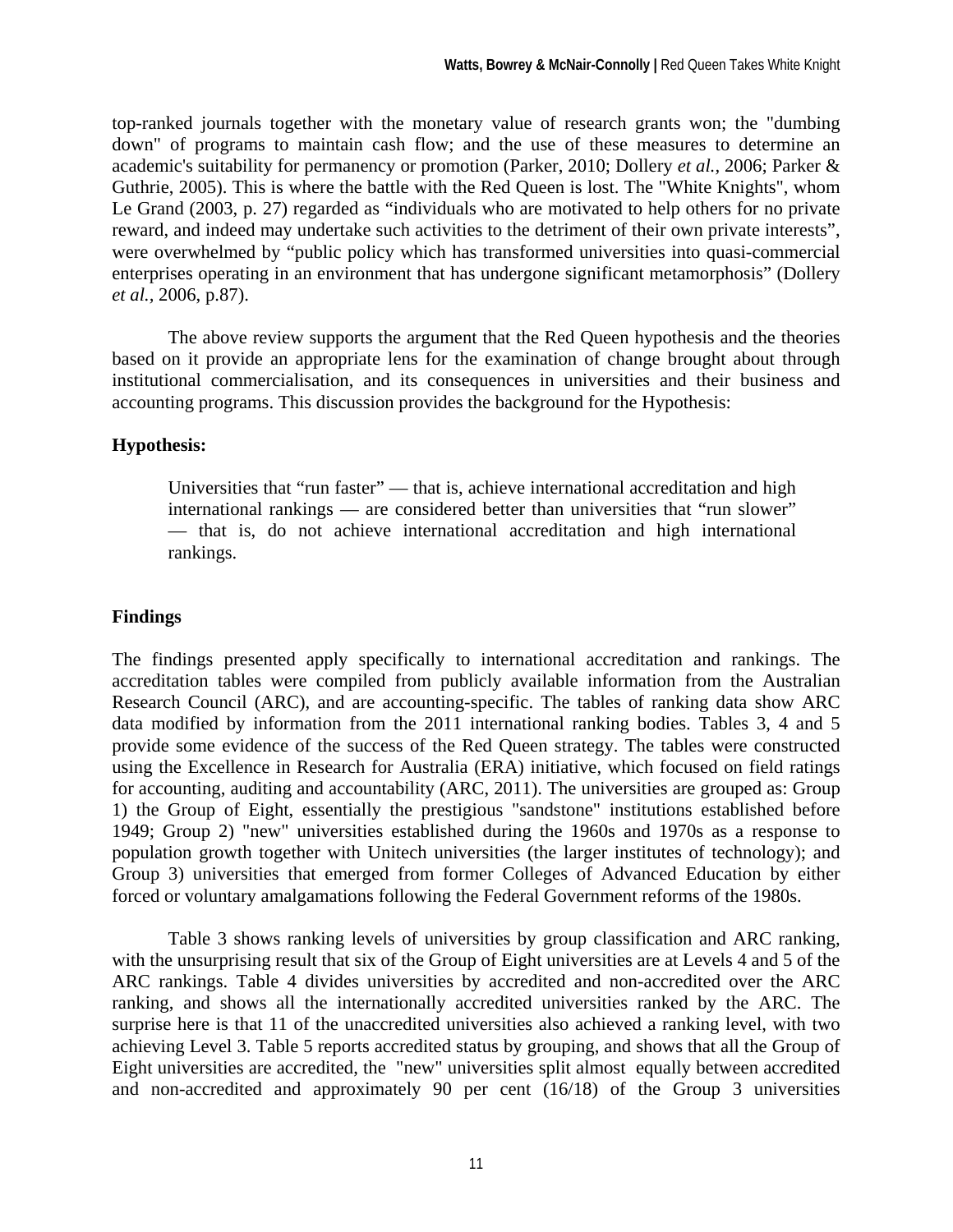top-ranked journals together with the monetary value of research grants won; the "dumbing down" of programs to maintain cash flow; and the use of these measures to determine an academic's suitability for permanency or promotion (Parker, 2010; Dollery *et al.,* 2006; Parker & Guthrie, 2005). This is where the battle with the Red Queen is lost. The "White Knights", whom Le Grand (2003, p. 27) regarded as "individuals who are motivated to help others for no private reward, and indeed may undertake such activities to the detriment of their own private interests", were overwhelmed by "public policy which has transformed universities into quasi-commercial enterprises operating in an environment that has undergone significant metamorphosis" (Dollery *et al.,* 2006, p.87).

 The above review supports the argument that the Red Queen hypothesis and the theories based on it provide an appropriate lens for the examination of change brought about through institutional commercialisation, and its consequences in universities and their business and accounting programs. This discussion provides the background for the Hypothesis:

#### **Hypothesis:**

Universities that "run faster" — that is, achieve international accreditation and high international rankings — are considered better than universities that "run slower" — that is, do not achieve international accreditation and high international rankings.

#### **Findings**

The findings presented apply specifically to international accreditation and rankings. The accreditation tables were compiled from publicly available information from the Australian Research Council (ARC), and are accounting-specific. The tables of ranking data show ARC data modified by information from the 2011 international ranking bodies. Tables 3, 4 and 5 provide some evidence of the success of the Red Queen strategy. The tables were constructed using the Excellence in Research for Australia (ERA) initiative, which focused on field ratings for accounting, auditing and accountability (ARC, 2011). The universities are grouped as: Group 1) the Group of Eight, essentially the prestigious "sandstone" institutions established before 1949; Group 2) "new" universities established during the 1960s and 1970s as a response to population growth together with Unitech universities (the larger institutes of technology); and Group 3) universities that emerged from former Colleges of Advanced Education by either forced or voluntary amalgamations following the Federal Government reforms of the 1980s.

Table 3 shows ranking levels of universities by group classification and ARC ranking, with the unsurprising result that six of the Group of Eight universities are at Levels 4 and 5 of the ARC rankings. Table 4 divides universities by accredited and non-accredited over the ARC ranking, and shows all the internationally accredited universities ranked by the ARC. The surprise here is that 11 of the unaccredited universities also achieved a ranking level, with two achieving Level 3. Table 5 reports accredited status by grouping, and shows that all the Group of Eight universities are accredited, the "new" universities split almost equally between accredited and non-accredited and approximately 90 per cent (16/18) of the Group 3 universities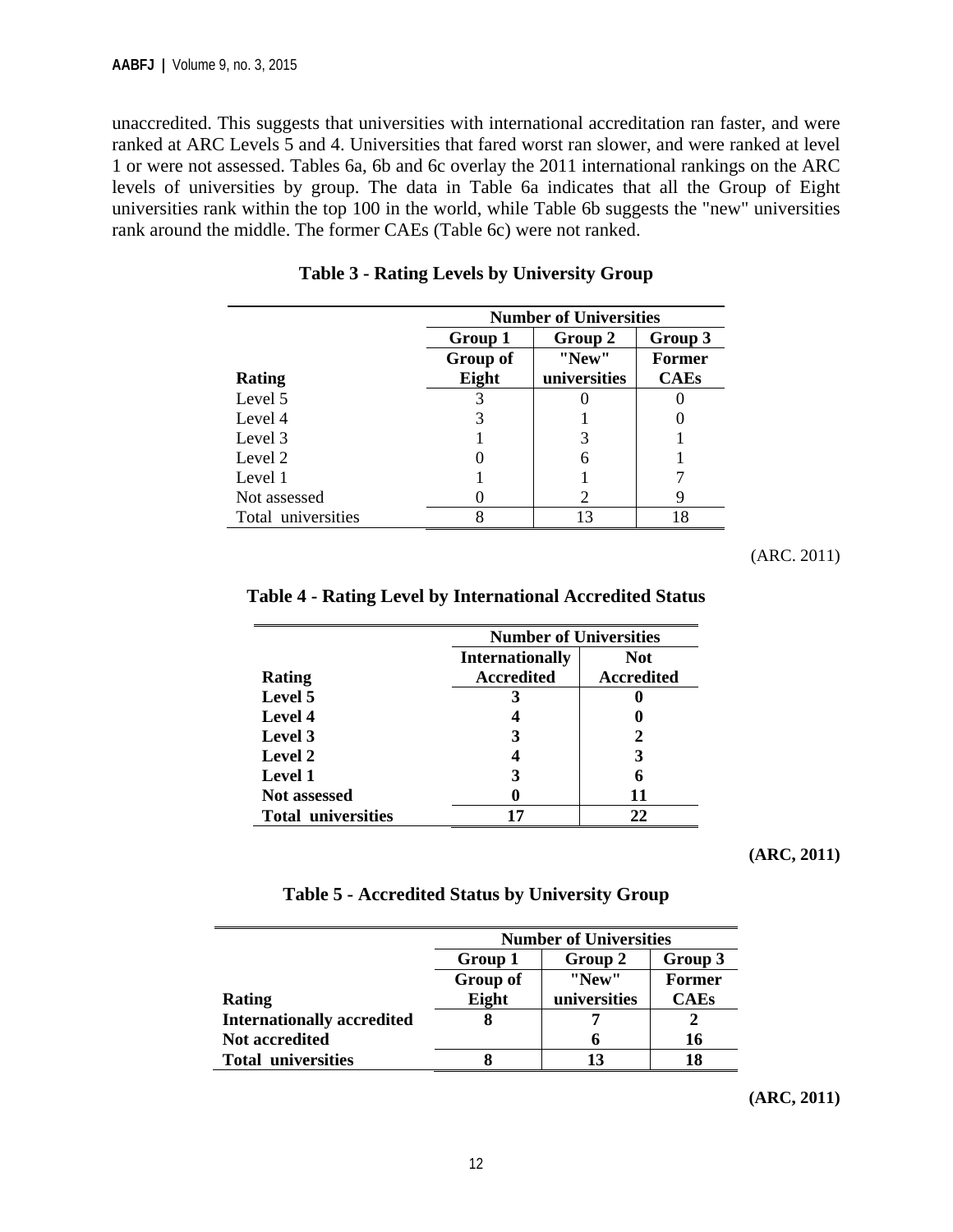unaccredited. This suggests that universities with international accreditation ran faster, and were ranked at ARC Levels 5 and 4. Universities that fared worst ran slower, and were ranked at level 1 or were not assessed. Tables 6a, 6b and 6c overlay the 2011 international rankings on the ARC levels of universities by group. The data in Table 6a indicates that all the Group of Eight universities rank within the top 100 in the world, while Table 6b suggests the "new" universities rank around the middle. The former CAEs (Table 6c) were not ranked.

|                    | <b>Number of Universities</b> |              |               |  |  |  |  |  |
|--------------------|-------------------------------|--------------|---------------|--|--|--|--|--|
|                    | Group 1                       | Group 3      |               |  |  |  |  |  |
|                    | Group of                      | "New"        | <b>Former</b> |  |  |  |  |  |
| Rating             | Eight                         | universities | <b>CAEs</b>   |  |  |  |  |  |
| Level 5            |                               |              |               |  |  |  |  |  |
| Level 4            |                               |              |               |  |  |  |  |  |
| Level 3            |                               |              |               |  |  |  |  |  |
| Level 2            |                               | 6            |               |  |  |  |  |  |
| Level 1            |                               |              |               |  |  |  |  |  |
| Not assessed       |                               | 2            | Q             |  |  |  |  |  |
| Total universities |                               | 13           | 18            |  |  |  |  |  |

**Table 3 - Rating Levels by University Group** 

(ARC. 2011)

|                           |                        | <b>Number of Universities</b> |  |  |  |  |
|---------------------------|------------------------|-------------------------------|--|--|--|--|
|                           | <b>Internationally</b> | <b>Not</b>                    |  |  |  |  |
| <b>Rating</b>             | <b>Accredited</b>      | <b>Accredited</b>             |  |  |  |  |
| Level 5                   |                        |                               |  |  |  |  |
| <b>Level 4</b>            |                        |                               |  |  |  |  |
| Level 3                   |                        | 2                             |  |  |  |  |
| Level 2                   |                        | 3                             |  |  |  |  |
| <b>Level 1</b>            | 3                      | 6                             |  |  |  |  |
| <b>Not assessed</b>       |                        | 11                            |  |  |  |  |
| <b>Total universities</b> |                        | 22                            |  |  |  |  |

#### **Table 4 - Rating Level by International Accredited Status**

**(ARC, 2011)** 

|                                   |                                    | <b>Number of Universities</b> |             |  |  |  |  |
|-----------------------------------|------------------------------------|-------------------------------|-------------|--|--|--|--|
|                                   | Group 2<br>Group 3<br>Group 1      |                               |             |  |  |  |  |
|                                   | "New"<br>Group of<br><b>Former</b> |                               |             |  |  |  |  |
| Rating                            | Eight                              | universities                  | <b>CAEs</b> |  |  |  |  |
| <b>Internationally accredited</b> |                                    |                               |             |  |  |  |  |
| <b>Not accredited</b>             |                                    |                               | 16          |  |  |  |  |
| <b>Total universities</b>         |                                    | 13                            | 18          |  |  |  |  |

**Table 5 - Accredited Status by University Group** 

**(ARC, 2011)**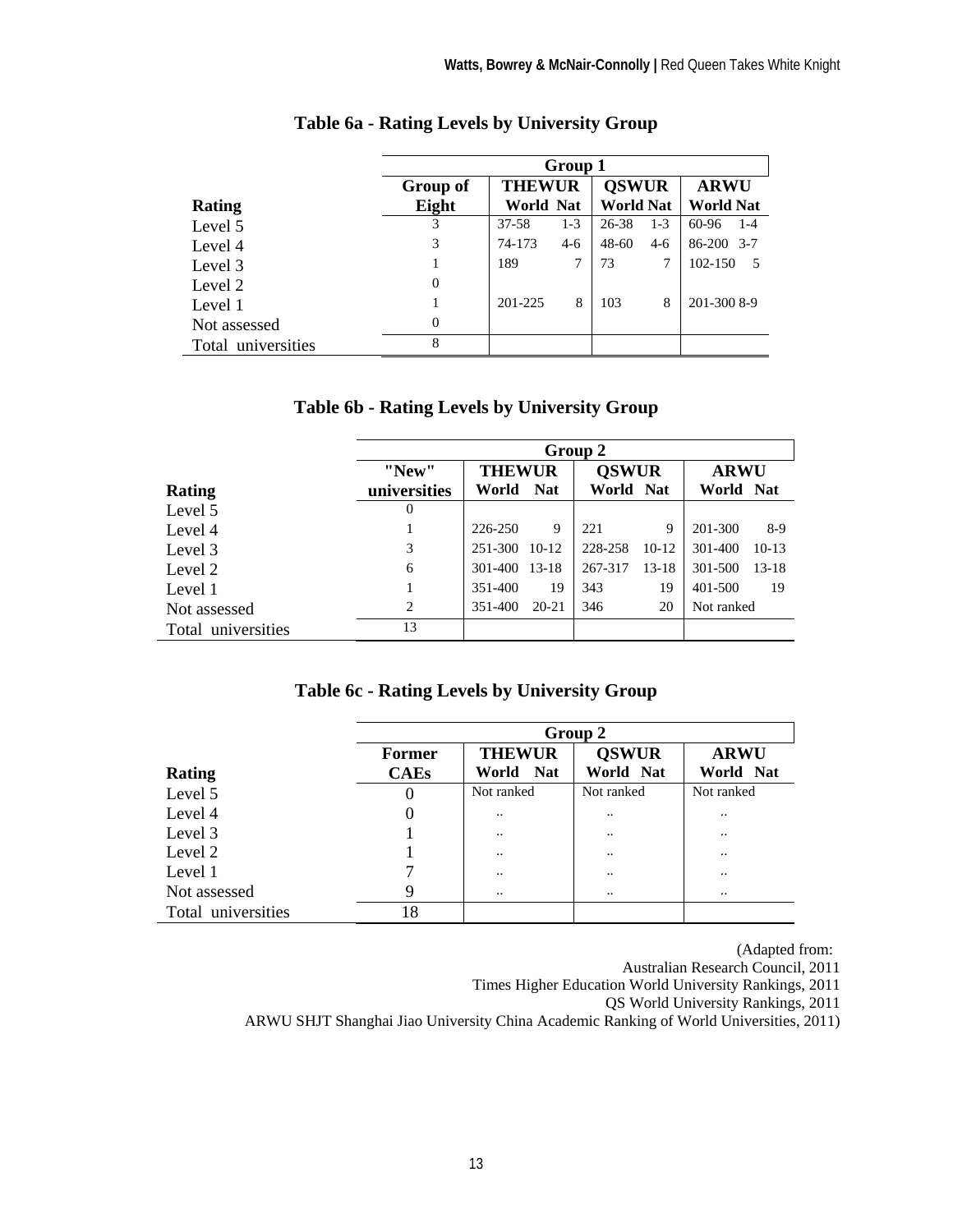|                    | Group 1         |                  |       |                  |       |                  |  |  |
|--------------------|-----------------|------------------|-------|------------------|-------|------------------|--|--|
|                    | <b>Group of</b> | <b>THEWUR</b>    |       | <b>OSWUR</b>     |       | <b>ARWU</b>      |  |  |
| <b>Rating</b>      | Eight           | <b>World Nat</b> |       | <b>World Nat</b> |       | <b>World Nat</b> |  |  |
| Level 5            | 3               | $37 - 58$        | $1-3$ | 26-38            | $1-3$ | 60-96<br>$1 - 4$ |  |  |
| Level 4            | 3               | 74-173           | $4-6$ | $48 - 60$        | $4-6$ | 86-200 3-7       |  |  |
| Level 3            |                 | 189              | 7     | 73               | 7     | 102-150          |  |  |
| Level 2            | $\overline{0}$  |                  |       |                  |       |                  |  |  |
| Level 1            |                 | 201-225          | 8     | 103              | 8     | 201-300 8-9      |  |  |
| Not assessed       | $\overline{0}$  |                  |       |                  |       |                  |  |  |
| Total universities | 8               |                  |       |                  |       |                  |  |  |

#### **Table 6a - Rating Levels by University Group**

| Table 6b - Rating Levels by University Group |  |  |  |
|----------------------------------------------|--|--|--|
|                                              |  |  |  |

|                    | Group 2        |               |           |              |           |             |           |  |
|--------------------|----------------|---------------|-----------|--------------|-----------|-------------|-----------|--|
|                    | "New"          | <b>THEWUR</b> |           | <b>OSWUR</b> |           | <b>ARWU</b> |           |  |
| Rating             | universities   | World Nat     |           | World Nat    |           | World Nat   |           |  |
| Level 5            | 0              |               |           |              |           |             |           |  |
| Level 4            |                | 226-250       | 9         | 221          | 9         | 201-300     | $8-9$     |  |
| Level 3            | 3              | 251-300 10-12 |           | 228-258      | $10-12$   | 301-400     | $10-13$   |  |
| Level 2            | 6              | 301-400 13-18 |           | 267-317      | $13 - 18$ | 301-500     | $13 - 18$ |  |
| Level 1            | 1              | 351-400       | 19        | 343          | 19        | 401-500     | 19        |  |
| Not assessed       | $\overline{c}$ | 351-400       | $20 - 21$ | 346          | 20        | Not ranked  |           |  |
| Total universities | 13             |               |           |              |           |             |           |  |

#### **Table 6c - Rating Levels by University Group**

|                    | Group 2       |               |              |               |  |  |  |
|--------------------|---------------|---------------|--------------|---------------|--|--|--|
|                    | <b>Former</b> | <b>THEWUR</b> | <b>OSWUR</b> | <b>ARWU</b>   |  |  |  |
| Rating             | <b>CAEs</b>   | World Nat     | World Nat    | World Nat     |  |  |  |
| Level 5            | 0             | Not ranked    | Not ranked   | Not ranked    |  |  |  |
| Level 4            |               |               |              |               |  |  |  |
| Level 3            |               |               |              |               |  |  |  |
| Level 2            |               |               |              |               |  |  |  |
| Level 1            |               |               |              | $\cdot \cdot$ |  |  |  |
| Not assessed       | 9             |               |              |               |  |  |  |
| Total universities | 18            |               |              |               |  |  |  |

(Adapted from:

Australian Research Council, 2011

Times Higher Education World University Rankings, 2011

QS World University Rankings, 2011

ARWU SHJT Shanghai Jiao University China Academic Ranking of World Universities, 2011)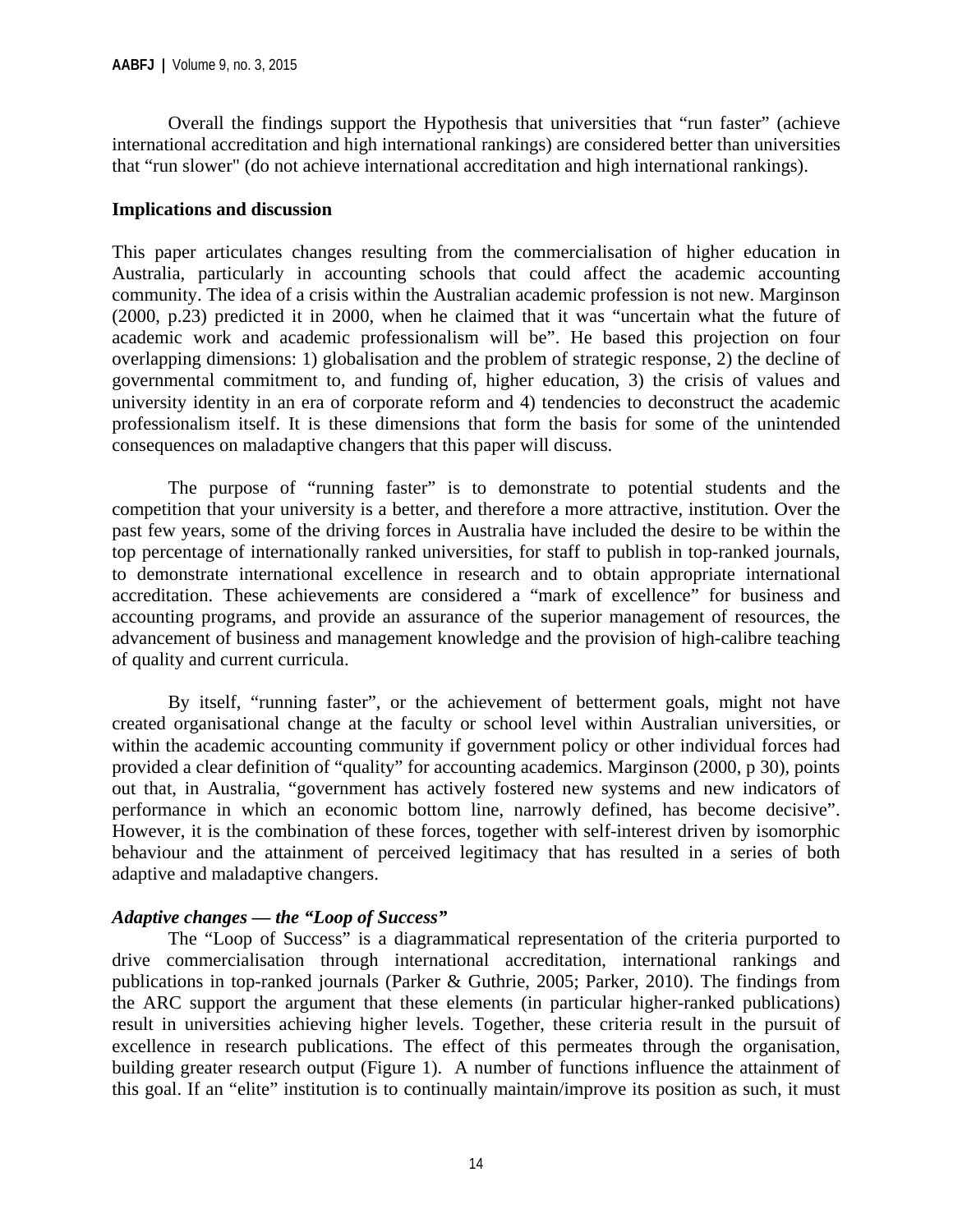Overall the findings support the Hypothesis that universities that "run faster" (achieve international accreditation and high international rankings) are considered better than universities that "run slower" (do not achieve international accreditation and high international rankings).

#### **Implications and discussion**

This paper articulates changes resulting from the commercialisation of higher education in Australia, particularly in accounting schools that could affect the academic accounting community. The idea of a crisis within the Australian academic profession is not new. Marginson (2000, p.23) predicted it in 2000, when he claimed that it was "uncertain what the future of academic work and academic professionalism will be". He based this projection on four overlapping dimensions: 1) globalisation and the problem of strategic response, 2) the decline of governmental commitment to, and funding of, higher education, 3) the crisis of values and university identity in an era of corporate reform and 4) tendencies to deconstruct the academic professionalism itself. It is these dimensions that form the basis for some of the unintended consequences on maladaptive changers that this paper will discuss.

The purpose of "running faster" is to demonstrate to potential students and the competition that your university is a better, and therefore a more attractive, institution. Over the past few years, some of the driving forces in Australia have included the desire to be within the top percentage of internationally ranked universities, for staff to publish in top-ranked journals, to demonstrate international excellence in research and to obtain appropriate international accreditation. These achievements are considered a "mark of excellence" for business and accounting programs, and provide an assurance of the superior management of resources, the advancement of business and management knowledge and the provision of high-calibre teaching of quality and current curricula.

By itself, "running faster", or the achievement of betterment goals, might not have created organisational change at the faculty or school level within Australian universities, or within the academic accounting community if government policy or other individual forces had provided a clear definition of "quality" for accounting academics. Marginson (2000, p 30), points out that, in Australia, "government has actively fostered new systems and new indicators of performance in which an economic bottom line, narrowly defined, has become decisive". However, it is the combination of these forces, together with self-interest driven by isomorphic behaviour and the attainment of perceived legitimacy that has resulted in a series of both adaptive and maladaptive changers.

#### *Adaptive changes — the "Loop of Success"*

The "Loop of Success" is a diagrammatical representation of the criteria purported to drive commercialisation through international accreditation, international rankings and publications in top-ranked journals (Parker & Guthrie, 2005; Parker, 2010). The findings from the ARC support the argument that these elements (in particular higher-ranked publications) result in universities achieving higher levels. Together, these criteria result in the pursuit of excellence in research publications. The effect of this permeates through the organisation, building greater research output (Figure 1). A number of functions influence the attainment of this goal. If an "elite" institution is to continually maintain/improve its position as such, it must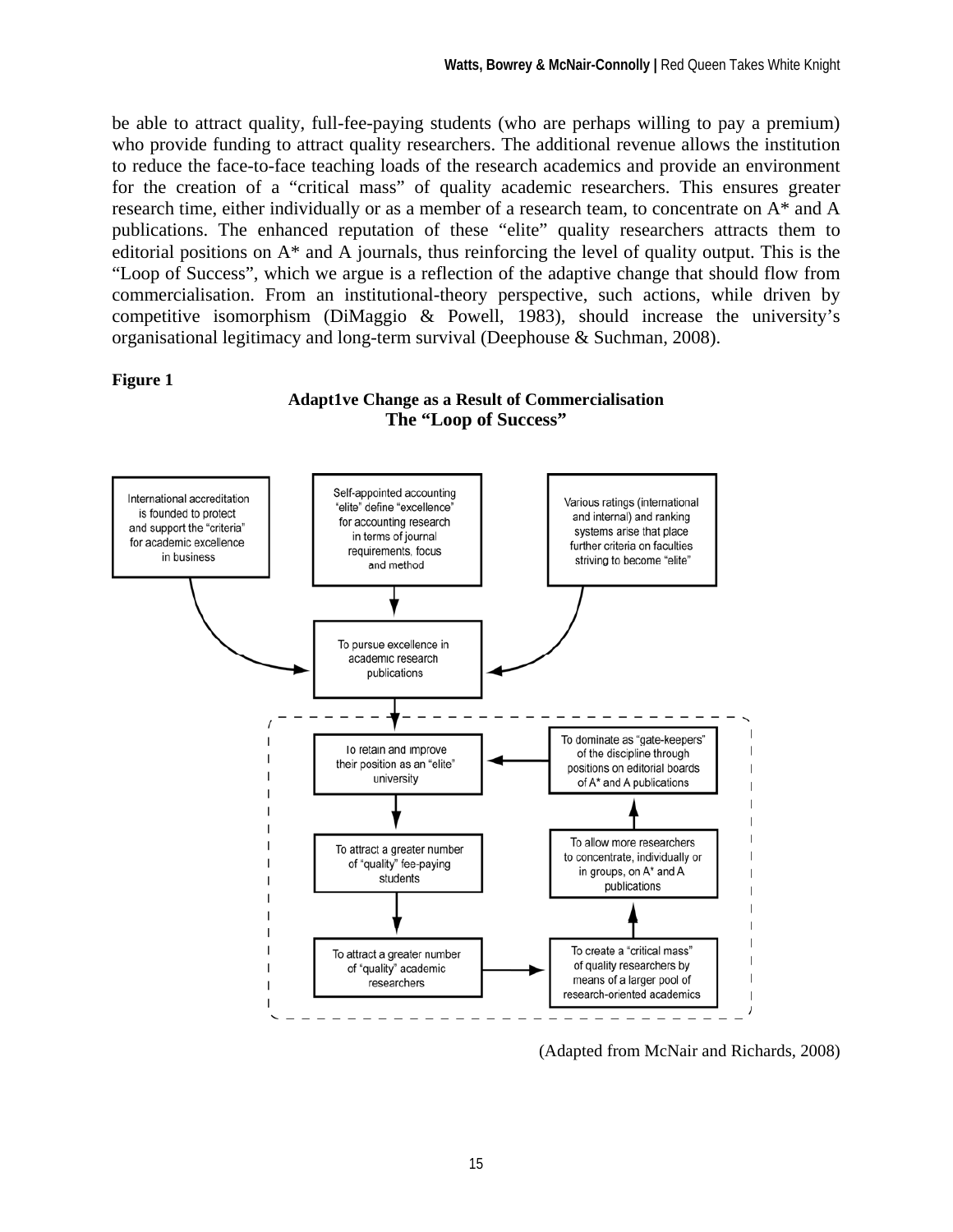be able to attract quality, full-fee-paying students (who are perhaps willing to pay a premium) who provide funding to attract quality researchers. The additional revenue allows the institution to reduce the face-to-face teaching loads of the research academics and provide an environment for the creation of a "critical mass" of quality academic researchers. This ensures greater research time, either individually or as a member of a research team, to concentrate on A\* and A publications. The enhanced reputation of these "elite" quality researchers attracts them to editorial positions on A\* and A journals, thus reinforcing the level of quality output. This is the "Loop of Success", which we argue is a reflection of the adaptive change that should flow from commercialisation. From an institutional-theory perspective, such actions, while driven by competitive isomorphism (DiMaggio & Powell, 1983), should increase the university's organisational legitimacy and long-term survival (Deephouse & Suchman, 2008).

#### **Figure 1**

#### **Adapt1ve Change as a Result of Commercialisation The "Loop of Success"**



(Adapted from McNair and Richards, 2008)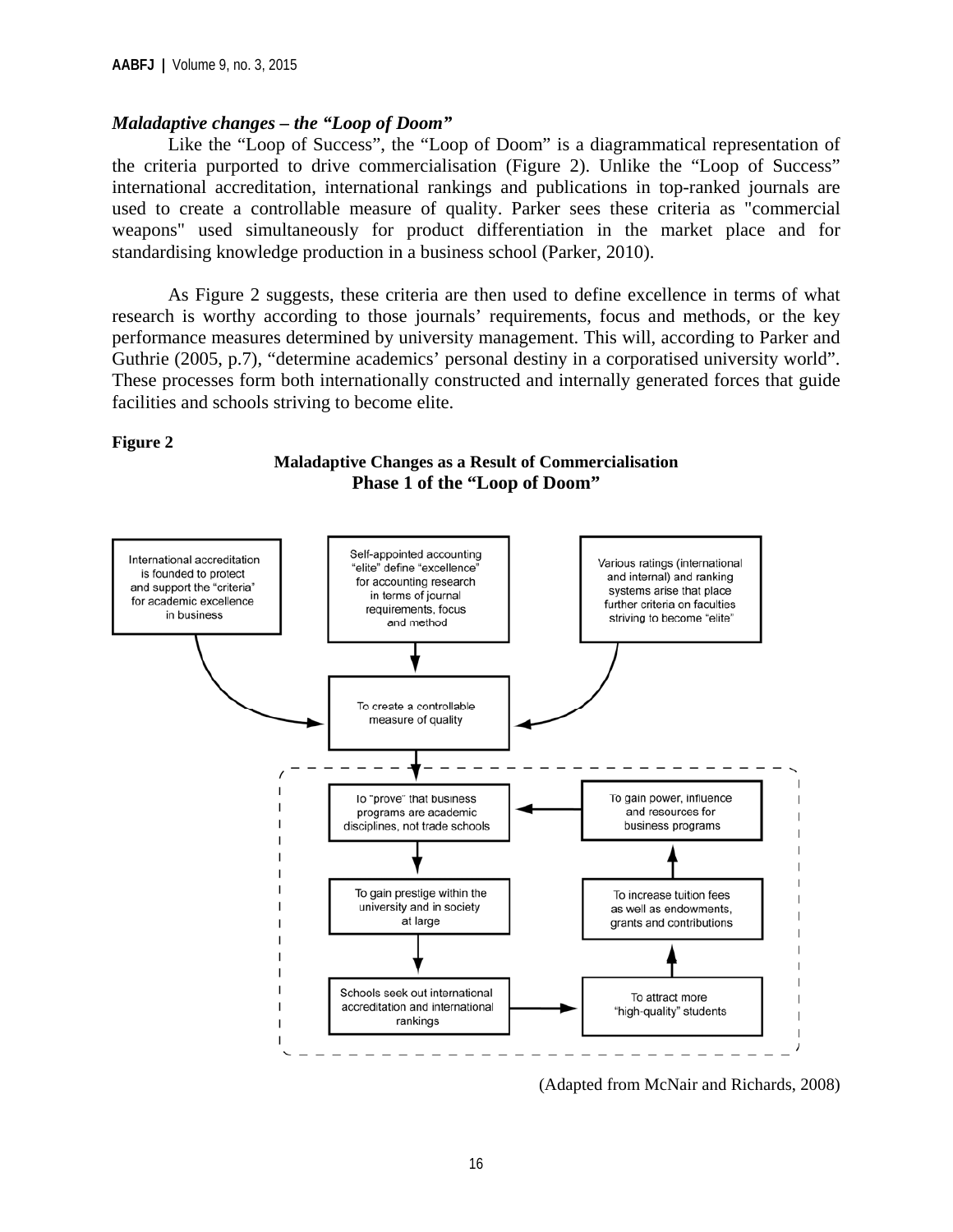#### *Maladaptive changes – the "Loop of Doom"*

Like the "Loop of Success", the "Loop of Doom" is a diagrammatical representation of the criteria purported to drive commercialisation (Figure 2). Unlike the "Loop of Success" international accreditation, international rankings and publications in top-ranked journals are used to create a controllable measure of quality. Parker sees these criteria as "commercial weapons" used simultaneously for product differentiation in the market place and for standardising knowledge production in a business school (Parker, 2010).

As Figure 2 suggests, these criteria are then used to define excellence in terms of what research is worthy according to those journals' requirements, focus and methods, or the key performance measures determined by university management. This will, according to Parker and Guthrie (2005, p.7), "determine academics' personal destiny in a corporatised university world". These processes form both internationally constructed and internally generated forces that guide facilities and schools striving to become elite.

#### **Figure 2**



**Maladaptive Changes as a Result of Commercialisation Phase 1 of the "Loop of Doom"** 

(Adapted from McNair and Richards, 2008)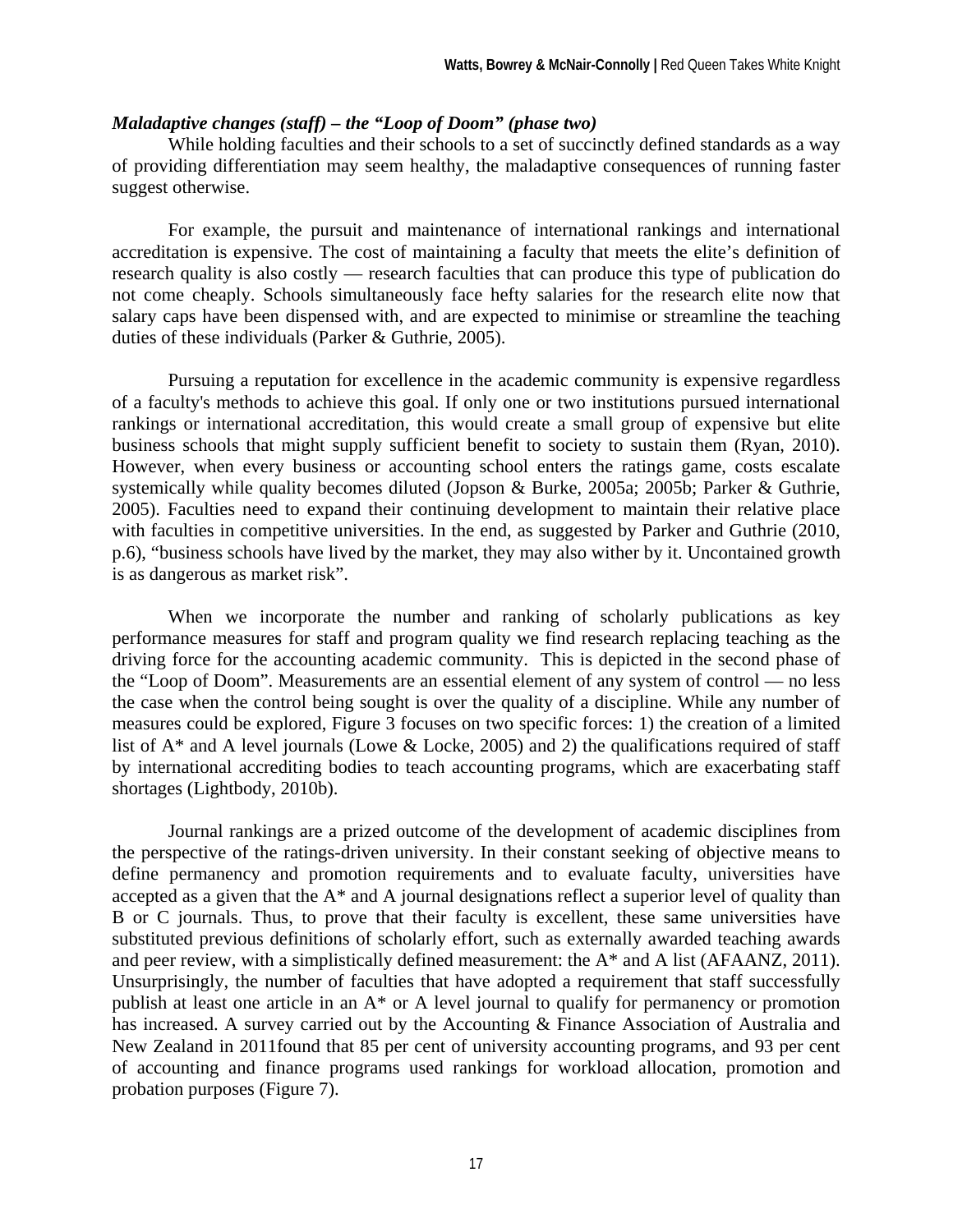#### *Maladaptive changes (staff) – the "Loop of Doom" (phase two)*

While holding faculties and their schools to a set of succinctly defined standards as a way of providing differentiation may seem healthy, the maladaptive consequences of running faster suggest otherwise.

For example, the pursuit and maintenance of international rankings and international accreditation is expensive. The cost of maintaining a faculty that meets the elite's definition of research quality is also costly — research faculties that can produce this type of publication do not come cheaply. Schools simultaneously face hefty salaries for the research elite now that salary caps have been dispensed with, and are expected to minimise or streamline the teaching duties of these individuals (Parker & Guthrie, 2005).

Pursuing a reputation for excellence in the academic community is expensive regardless of a faculty's methods to achieve this goal. If only one or two institutions pursued international rankings or international accreditation, this would create a small group of expensive but elite business schools that might supply sufficient benefit to society to sustain them (Ryan, 2010). However, when every business or accounting school enters the ratings game, costs escalate systemically while quality becomes diluted (Jopson & Burke, 2005a; 2005b; Parker & Guthrie, 2005). Faculties need to expand their continuing development to maintain their relative place with faculties in competitive universities. In the end, as suggested by Parker and Guthrie (2010, p.6), "business schools have lived by the market, they may also wither by it. Uncontained growth is as dangerous as market risk".

When we incorporate the number and ranking of scholarly publications as key performance measures for staff and program quality we find research replacing teaching as the driving force for the accounting academic community. This is depicted in the second phase of the "Loop of Doom". Measurements are an essential element of any system of control — no less the case when the control being sought is over the quality of a discipline. While any number of measures could be explored, Figure 3 focuses on two specific forces: 1) the creation of a limited list of  $A^*$  and A level journals (Lowe & Locke, 2005) and 2) the qualifications required of staff by international accrediting bodies to teach accounting programs, which are exacerbating staff shortages (Lightbody, 2010b).

Journal rankings are a prized outcome of the development of academic disciplines from the perspective of the ratings-driven university. In their constant seeking of objective means to define permanency and promotion requirements and to evaluate faculty, universities have accepted as a given that the A\* and A journal designations reflect a superior level of quality than B or C journals. Thus, to prove that their faculty is excellent, these same universities have substituted previous definitions of scholarly effort, such as externally awarded teaching awards and peer review, with a simplistically defined measurement: the A\* and A list (AFAANZ, 2011). Unsurprisingly, the number of faculties that have adopted a requirement that staff successfully publish at least one article in an A\* or A level journal to qualify for permanency or promotion has increased. A survey carried out by the Accounting & Finance Association of Australia and New Zealand in 2011found that 85 per cent of university accounting programs, and 93 per cent of accounting and finance programs used rankings for workload allocation, promotion and probation purposes (Figure 7).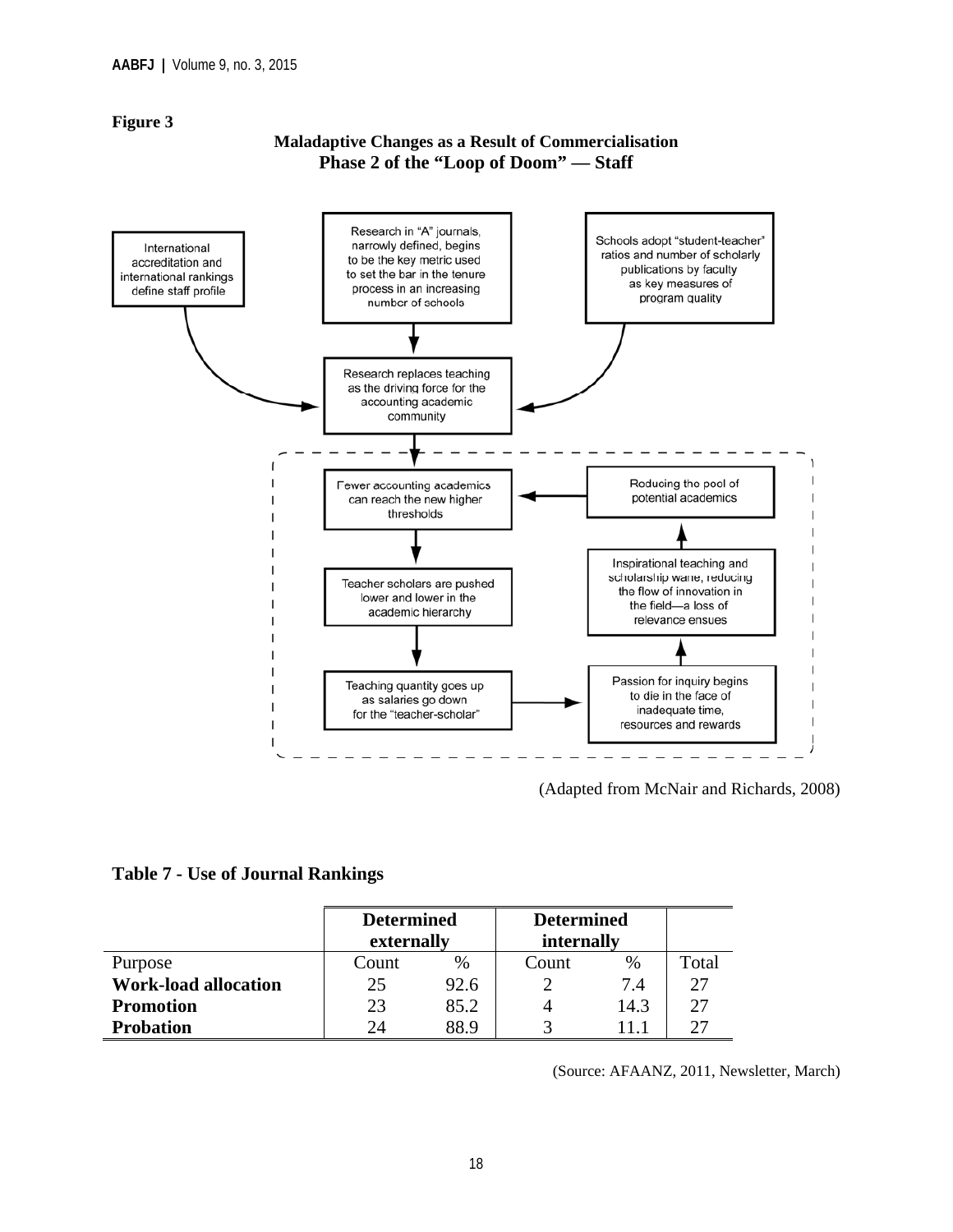#### **Figure 3**

#### **Maladaptive Changes as a Result of Commercialisation Phase 2 of the "Loop of Doom" — Staff**



(Adapted from McNair and Richards, 2008)

#### **Table 7 - Use of Journal Rankings**

|                             | <b>Determined</b> |      | <b>Determined</b> |      |       |
|-----------------------------|-------------------|------|-------------------|------|-------|
|                             | externally        |      | internally        |      |       |
| Purpose                     | Count             | $\%$ | Count             | %    | Total |
| <b>Work-load allocation</b> | 25                | 92.6 |                   | 7.4  | 27    |
| <b>Promotion</b>            | 23                | 85.2 |                   | 14.3 | 27    |
| <b>Probation</b>            | 24                | 88.9 |                   |      |       |

(Source: AFAANZ, 2011, Newsletter, March)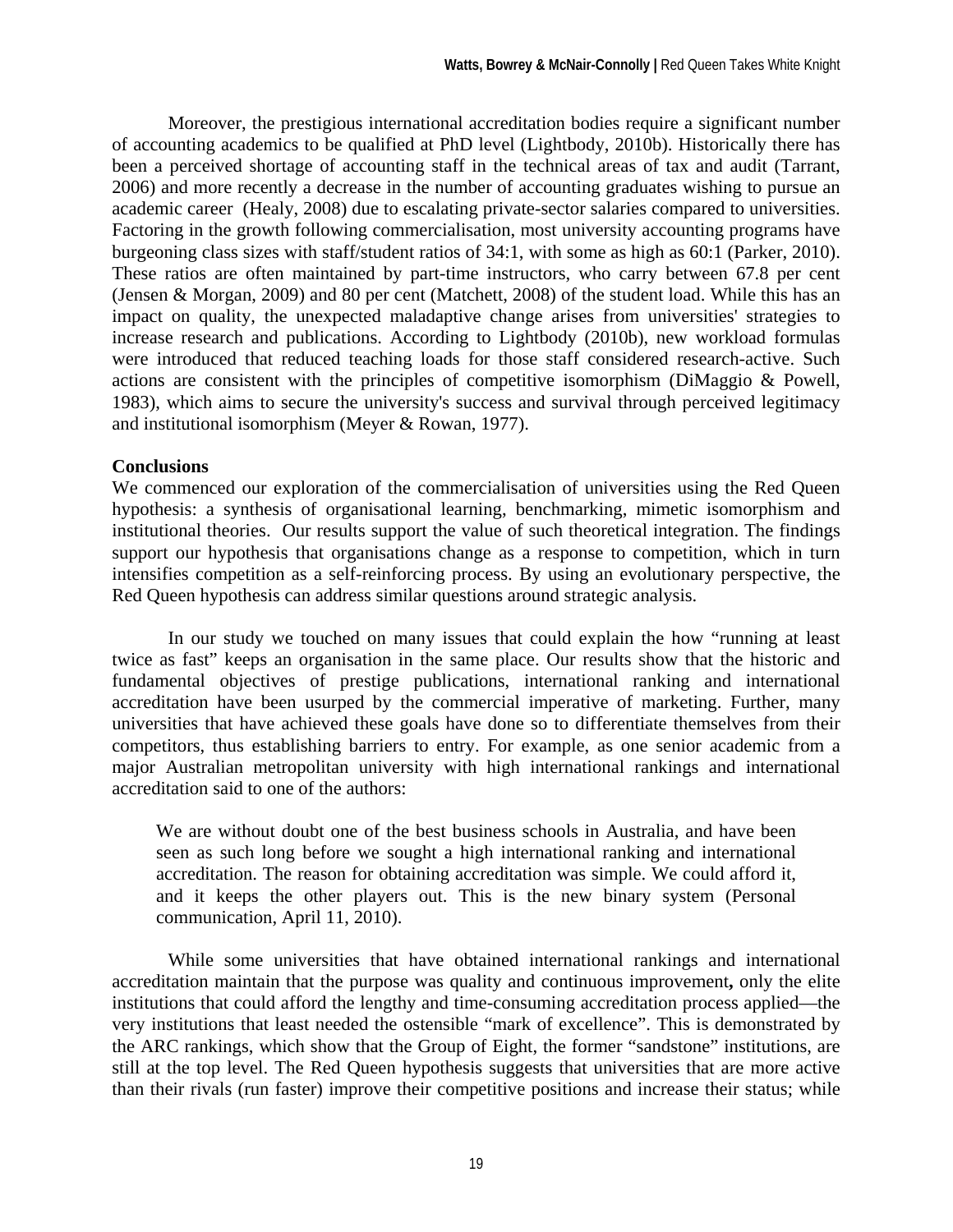Moreover, the prestigious international accreditation bodies require a significant number of accounting academics to be qualified at PhD level (Lightbody, 2010b). Historically there has been a perceived shortage of accounting staff in the technical areas of tax and audit (Tarrant, 2006) and more recently a decrease in the number of accounting graduates wishing to pursue an academic career (Healy, 2008) due to escalating private-sector salaries compared to universities. Factoring in the growth following commercialisation, most university accounting programs have burgeoning class sizes with staff/student ratios of 34:1, with some as high as 60:1 (Parker, 2010). These ratios are often maintained by part-time instructors, who carry between 67.8 per cent (Jensen & Morgan, 2009) and 80 per cent (Matchett, 2008) of the student load. While this has an impact on quality, the unexpected maladaptive change arises from universities' strategies to increase research and publications. According to Lightbody (2010b), new workload formulas were introduced that reduced teaching loads for those staff considered research-active. Such actions are consistent with the principles of competitive isomorphism (DiMaggio & Powell, 1983), which aims to secure the university's success and survival through perceived legitimacy and institutional isomorphism (Meyer & Rowan, 1977).

#### **Conclusions**

We commenced our exploration of the commercialisation of universities using the Red Queen hypothesis: a synthesis of organisational learning, benchmarking, mimetic isomorphism and institutional theories. Our results support the value of such theoretical integration. The findings support our hypothesis that organisations change as a response to competition, which in turn intensifies competition as a self-reinforcing process. By using an evolutionary perspective, the Red Queen hypothesis can address similar questions around strategic analysis.

In our study we touched on many issues that could explain the how "running at least twice as fast" keeps an organisation in the same place. Our results show that the historic and fundamental objectives of prestige publications, international ranking and international accreditation have been usurped by the commercial imperative of marketing. Further, many universities that have achieved these goals have done so to differentiate themselves from their competitors, thus establishing barriers to entry. For example, as one senior academic from a major Australian metropolitan university with high international rankings and international accreditation said to one of the authors:

We are without doubt one of the best business schools in Australia, and have been seen as such long before we sought a high international ranking and international accreditation. The reason for obtaining accreditation was simple. We could afford it, and it keeps the other players out. This is the new binary system (Personal communication, April 11, 2010).

While some universities that have obtained international rankings and international accreditation maintain that the purpose was quality and continuous improvement**,** only the elite institutions that could afford the lengthy and time-consuming accreditation process applied—the very institutions that least needed the ostensible "mark of excellence". This is demonstrated by the ARC rankings, which show that the Group of Eight, the former "sandstone" institutions, are still at the top level. The Red Queen hypothesis suggests that universities that are more active than their rivals (run faster) improve their competitive positions and increase their status; while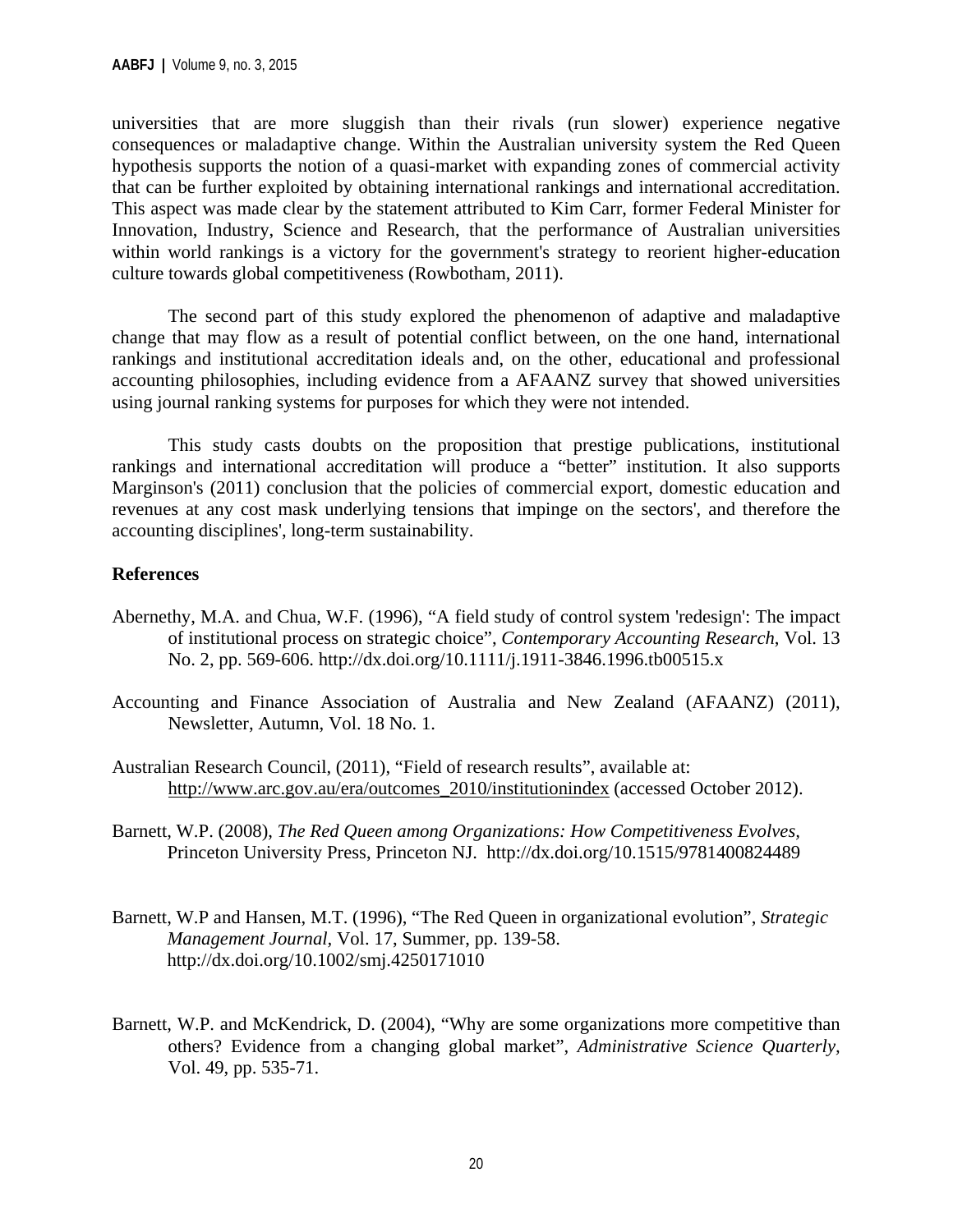universities that are more sluggish than their rivals (run slower) experience negative consequences or maladaptive change. Within the Australian university system the Red Queen hypothesis supports the notion of a quasi-market with expanding zones of commercial activity that can be further exploited by obtaining international rankings and international accreditation. This aspect was made clear by the statement attributed to Kim Carr, former Federal Minister for Innovation, Industry, Science and Research, that the performance of Australian universities within world rankings is a victory for the government's strategy to reorient higher-education culture towards global competitiveness (Rowbotham, 2011).

The second part of this study explored the phenomenon of adaptive and maladaptive change that may flow as a result of potential conflict between, on the one hand, international rankings and institutional accreditation ideals and, on the other, educational and professional accounting philosophies, including evidence from a AFAANZ survey that showed universities using journal ranking systems for purposes for which they were not intended.

 This study casts doubts on the proposition that prestige publications, institutional rankings and international accreditation will produce a "better" institution. It also supports Marginson's (2011) conclusion that the policies of commercial export, domestic education and revenues at any cost mask underlying tensions that impinge on the sectors', and therefore the accounting disciplines', long-term sustainability.

#### **References**

- Abernethy, M.A. and Chua, W.F. (1996), "A field study of control system 'redesign': The impact of institutional process on strategic choice", *Contemporary Accounting Research*, Vol. 13 No. 2, pp. 569-606. http://dx.doi.org/10.1111/j.1911-3846.1996.tb00515.x
- Accounting and Finance Association of Australia and New Zealand (AFAANZ) (2011), Newsletter, Autumn, Vol. 18 No. 1.
- Australian Research Council, (2011), "Field of research results", available at: http://www.arc.gov.au/era/outcomes\_2010/institutionindex (accessed October 2012).
- Barnett, W.P. (2008), *The Red Queen among Organizations: How Competitiveness Evolves,*  Princeton University Press, Princeton NJ. http://dx.doi.org/10.1515/9781400824489
- Barnett, W.P and Hansen, M.T. (1996), "The Red Queen in organizational evolution", *Strategic Management Journal,* Vol. 17, Summer, pp. 139-58. http://dx.doi.org/10.1002/smj.4250171010
- Barnett, W.P. and McKendrick, D. (2004), "Why are some organizations more competitive than others? Evidence from a changing global market", *Administrative Science Quarterly,*  Vol. 49, pp. 535-71.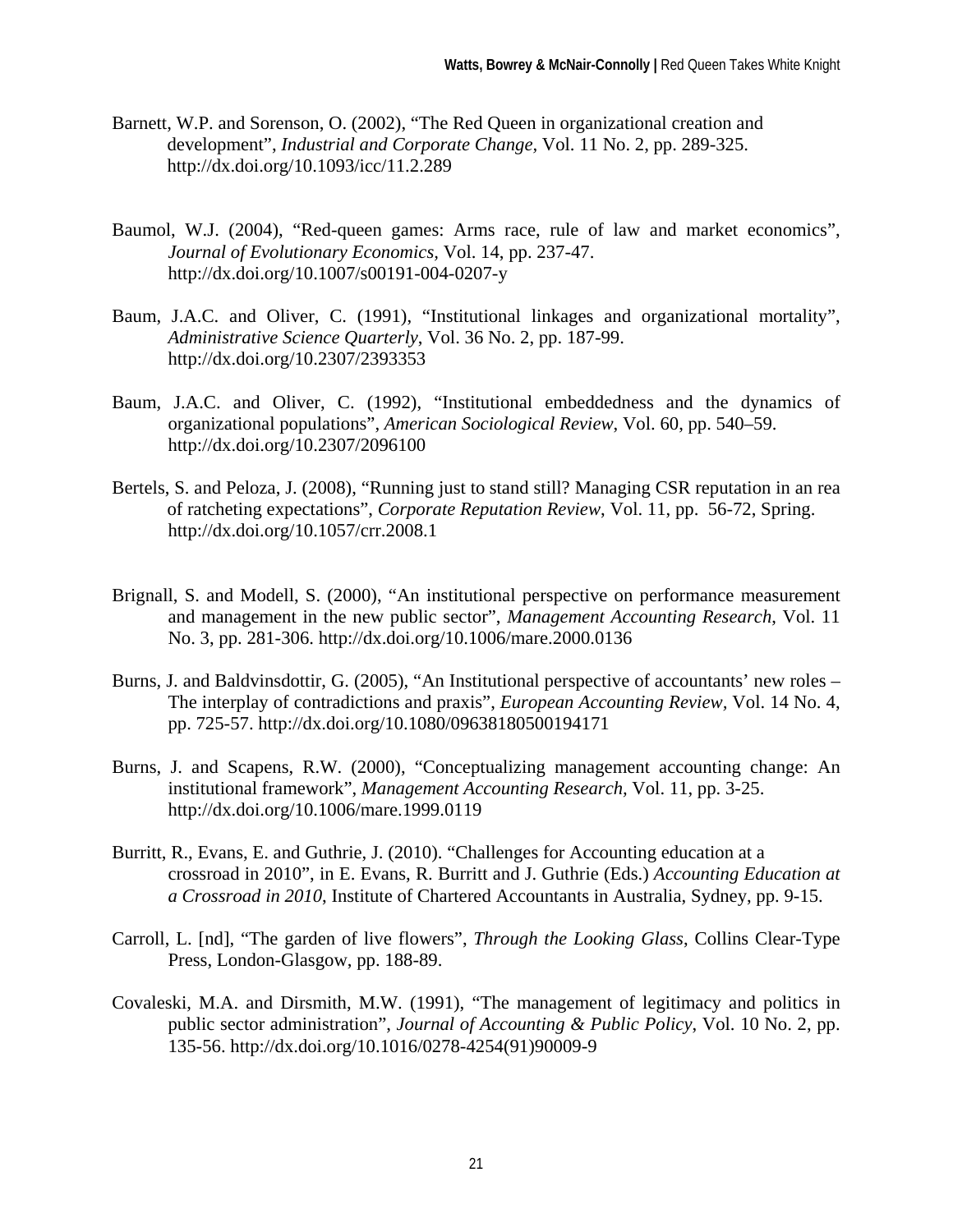- Barnett, W.P. and Sorenson, O. (2002), "The Red Queen in organizational creation and development", *Industrial and Corporate Change,* Vol. 11 No. 2, pp. 289-325. http://dx.doi.org/10.1093/icc/11.2.289
- Baumol, W.J. (2004), "Red-queen games: Arms race, rule of law and market economics", *Journal of Evolutionary Economics,* Vol. 14, pp. 237-47. http://dx.doi.org/10.1007/s00191-004-0207-y
- Baum, J.A.C. and Oliver, C. (1991), "Institutional linkages and organizational mortality", *Administrative Science Quarterly*, Vol. 36 No. 2, pp. 187-99. http://dx.doi.org/10.2307/2393353
- Baum, J.A.C. and Oliver, C. (1992), "Institutional embeddedness and the dynamics of organizational populations", *American Sociological Review*, Vol. 60, pp. 540–59. http://dx.doi.org/10.2307/2096100
- Bertels, S. and Peloza, J. (2008), "Running just to stand still? Managing CSR reputation in an rea of ratcheting expectations", *Corporate Reputation Review*, Vol. 11, pp. 56-72, Spring. http://dx.doi.org/10.1057/crr.2008.1
- Brignall, S. and Modell, S. (2000), "An institutional perspective on performance measurement and management in the new public sector", *Management Accounting Research*, Vol. 11 No. 3, pp. 281-306. http://dx.doi.org/10.1006/mare.2000.0136
- Burns, J. and Baldvinsdottir, G. (2005), "An Institutional perspective of accountants' new roles The interplay of contradictions and praxis", *European Accounting Review,* Vol. 14 No. 4, pp. 725-57. http://dx.doi.org/10.1080/09638180500194171
- Burns, J. and Scapens, R.W. (2000), "Conceptualizing management accounting change: An institutional framework", *Management Accounting Research,* Vol. 11, pp. 3-25. http://dx.doi.org/10.1006/mare.1999.0119
- Burritt, R., Evans, E. and Guthrie, J. (2010). "Challenges for Accounting education at a crossroad in 2010", in E. Evans, R. Burritt and J. Guthrie (Eds.) *Accounting Education at a Crossroad in 2010*, Institute of Chartered Accountants in Australia, Sydney, pp. 9-15.
- Carroll, L. [nd], "The garden of live flowers", *Through the Looking Glass*, Collins Clear-Type Press, London-Glasgow, pp. 188-89.
- Covaleski, M.A. and Dirsmith, M.W. (1991), "The management of legitimacy and politics in public sector administration", *Journal of Accounting & Public Policy*, Vol. 10 No. 2, pp. 135-56. http://dx.doi.org/10.1016/0278-4254(91)90009-9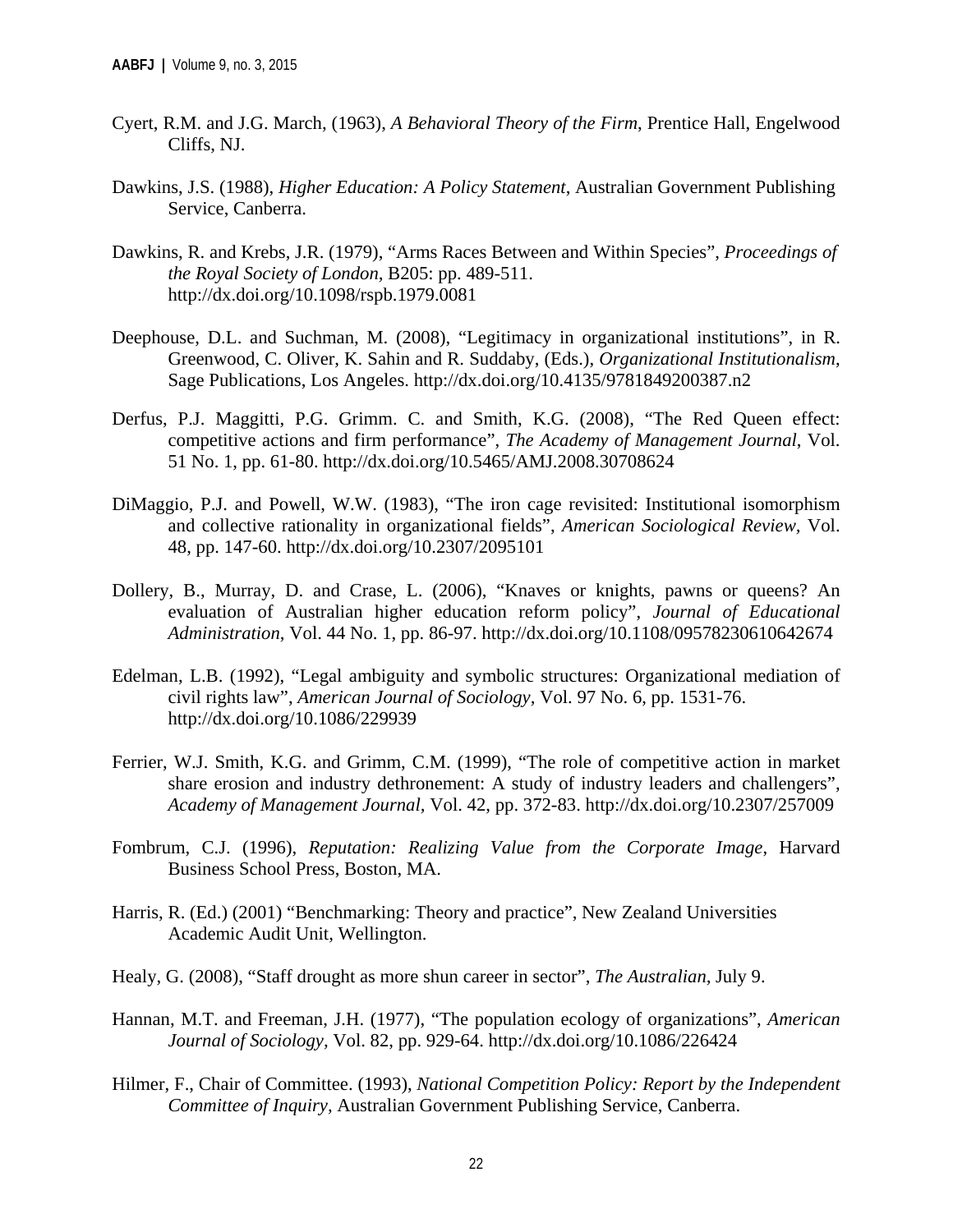- Cyert, R.M. and J.G. March, (1963), *A Behavioral Theory of the Firm*, Prentice Hall, Engelwood Cliffs, NJ.
- Dawkins, J.S. (1988), *Higher Education: A Policy Statement*, Australian Government Publishing Service, Canberra.
- Dawkins, R. and Krebs, J.R. (1979), "Arms Races Between and Within Species", *Proceedings of the Royal Society of London,* B205: pp. 489-511. http://dx.doi.org/10.1098/rspb.1979.0081
- Deephouse, D.L. and Suchman, M. (2008), "Legitimacy in organizational institutions", in R. Greenwood, C. Oliver, K. Sahin and R. Suddaby, (Eds.), *Organizational Institutionalism*, Sage Publications, Los Angeles. http://dx.doi.org/10.4135/9781849200387.n2
- Derfus, P.J. Maggitti, P.G. Grimm. C. and Smith, K.G. (2008), "The Red Queen effect: competitive actions and firm performance", *The Academy of Management Journal*, Vol. 51 No. 1, pp. 61-80. http://dx.doi.org/10.5465/AMJ.2008.30708624
- DiMaggio, P.J. and Powell, W.W. (1983), "The iron cage revisited: Institutional isomorphism and collective rationality in organizational fields", *American Sociological Review,* Vol. 48, pp. 147-60. http://dx.doi.org/10.2307/2095101
- Dollery, B., Murray, D. and Crase, L. (2006), "Knaves or knights, pawns or queens? An evaluation of Australian higher education reform policy", *Journal of Educational Administration*, Vol. 44 No. 1, pp. 86-97. http://dx.doi.org/10.1108/09578230610642674
- Edelman, L.B. (1992), "Legal ambiguity and symbolic structures: Organizational mediation of civil rights law", *American Journal of Sociology,* Vol. 97 No. 6, pp. 1531-76. http://dx.doi.org/10.1086/229939
- Ferrier, W.J. Smith, K.G. and Grimm, C.M. (1999), "The role of competitive action in market share erosion and industry dethronement: A study of industry leaders and challengers", *Academy of Management Journal,* Vol. 42, pp. 372-83. http://dx.doi.org/10.2307/257009
- Fombrum, C.J. (1996), *Reputation: Realizing Value from the Corporate Image*, Harvard Business School Press, Boston, MA.
- Harris, R. (Ed.) (2001) "Benchmarking: Theory and practice", New Zealand Universities Academic Audit Unit, Wellington.
- Healy, G. (2008), "Staff drought as more shun career in sector", *The Australian,* July 9.
- Hannan, M.T. and Freeman, J.H. (1977), "The population ecology of organizations", *American Journal of Sociology,* Vol. 82, pp. 929-64. http://dx.doi.org/10.1086/226424
- Hilmer, F., Chair of Committee. (1993), *National Competition Policy: Report by the Independent Committee of Inquiry,* Australian Government Publishing Service, Canberra.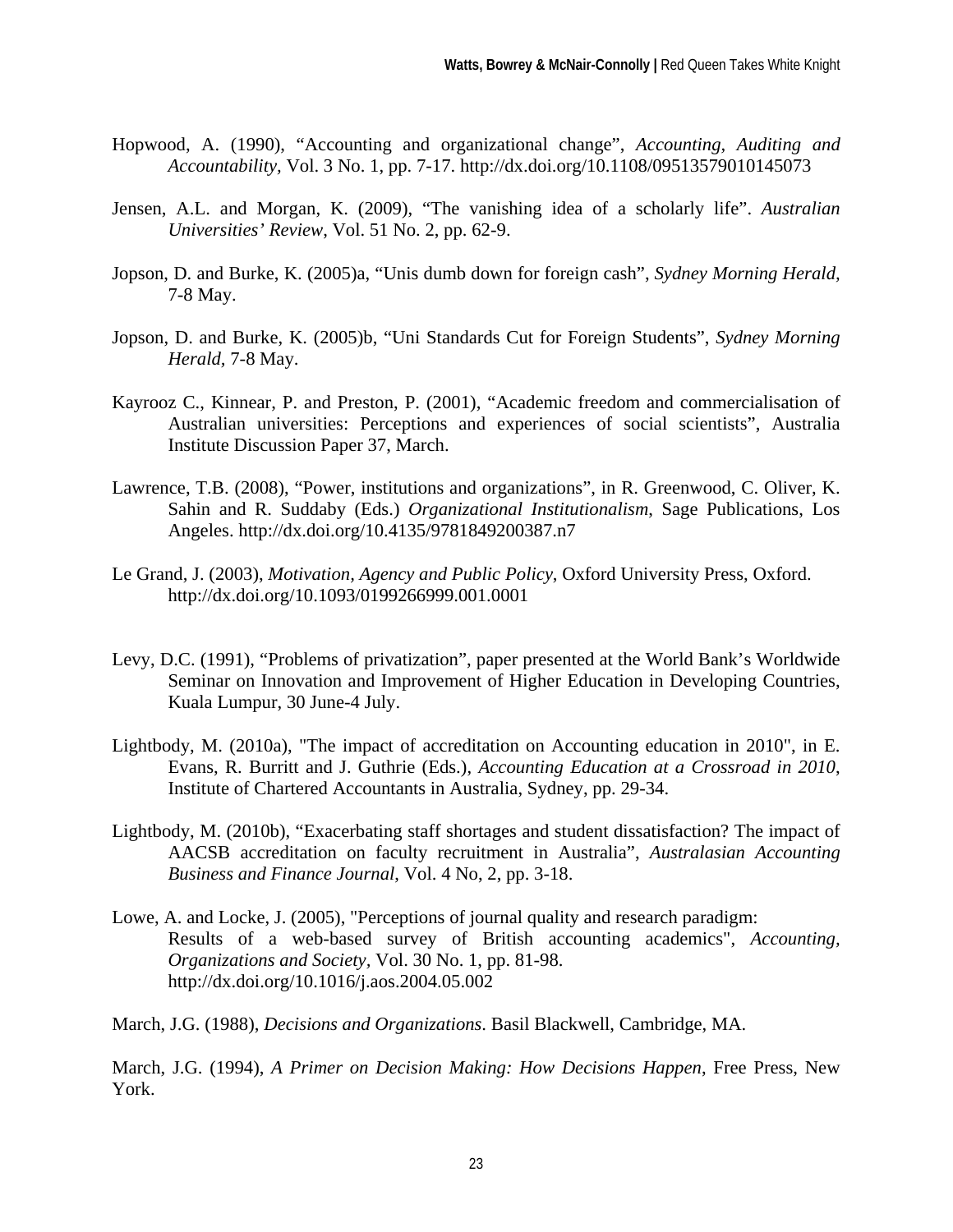- Hopwood, A. (1990), "Accounting and organizational change", *Accounting, Auditing and Accountability,* Vol. 3 No. 1, pp. 7-17. http://dx.doi.org/10.1108/09513579010145073
- Jensen, A.L. and Morgan, K. (2009), "The vanishing idea of a scholarly life". *Australian Universities' Review*, Vol. 51 No. 2, pp. 62-9.
- Jopson, D. and Burke, K. (2005)a, "Unis dumb down for foreign cash", *Sydney Morning Herald,*  7-8 May.
- Jopson, D. and Burke, K. (2005)b, "Uni Standards Cut for Foreign Students", *Sydney Morning Herald,* 7-8 May.
- Kayrooz C., Kinnear, P. and Preston, P. (2001), "Academic freedom and commercialisation of Australian universities: Perceptions and experiences of social scientists", Australia Institute Discussion Paper 37, March.
- Lawrence, T.B. (2008), "Power, institutions and organizations", in R. Greenwood, C. Oliver, K. Sahin and R. Suddaby (Eds.) *Organizational Institutionalism*, Sage Publications, Los Angeles. http://dx.doi.org/10.4135/9781849200387.n7
- Le Grand, J. (2003), *Motivation, Agency and Public Policy*, Oxford University Press, Oxford. http://dx.doi.org/10.1093/0199266999.001.0001
- Levy, D.C. (1991), "Problems of privatization", paper presented at the World Bank's Worldwide Seminar on Innovation and Improvement of Higher Education in Developing Countries, Kuala Lumpur, 30 June-4 July.
- Lightbody, M. (2010a), "The impact of accreditation on Accounting education in 2010", in E. Evans, R. Burritt and J. Guthrie (Eds.), *Accounting Education at a Crossroad in 2010*, Institute of Chartered Accountants in Australia, Sydney, pp. 29-34.
- Lightbody, M. (2010b), "Exacerbating staff shortages and student dissatisfaction? The impact of AACSB accreditation on faculty recruitment in Australia", *Australasian Accounting Business and Finance Journal*, Vol. 4 No, 2, pp. 3-18.
- Lowe, A. and Locke, J. (2005), "Perceptions of journal quality and research paradigm: Results of a web-based survey of British accounting academics", *Accounting, Organizations and Society,* Vol. 30 No. 1, pp. 81-98. http://dx.doi.org/10.1016/j.aos.2004.05.002

March, J.G. (1988), *Decisions and Organizations*. Basil Blackwell, Cambridge, MA.

March, J.G. (1994), *A Primer on Decision Making: How Decisions Happen*, Free Press, New York.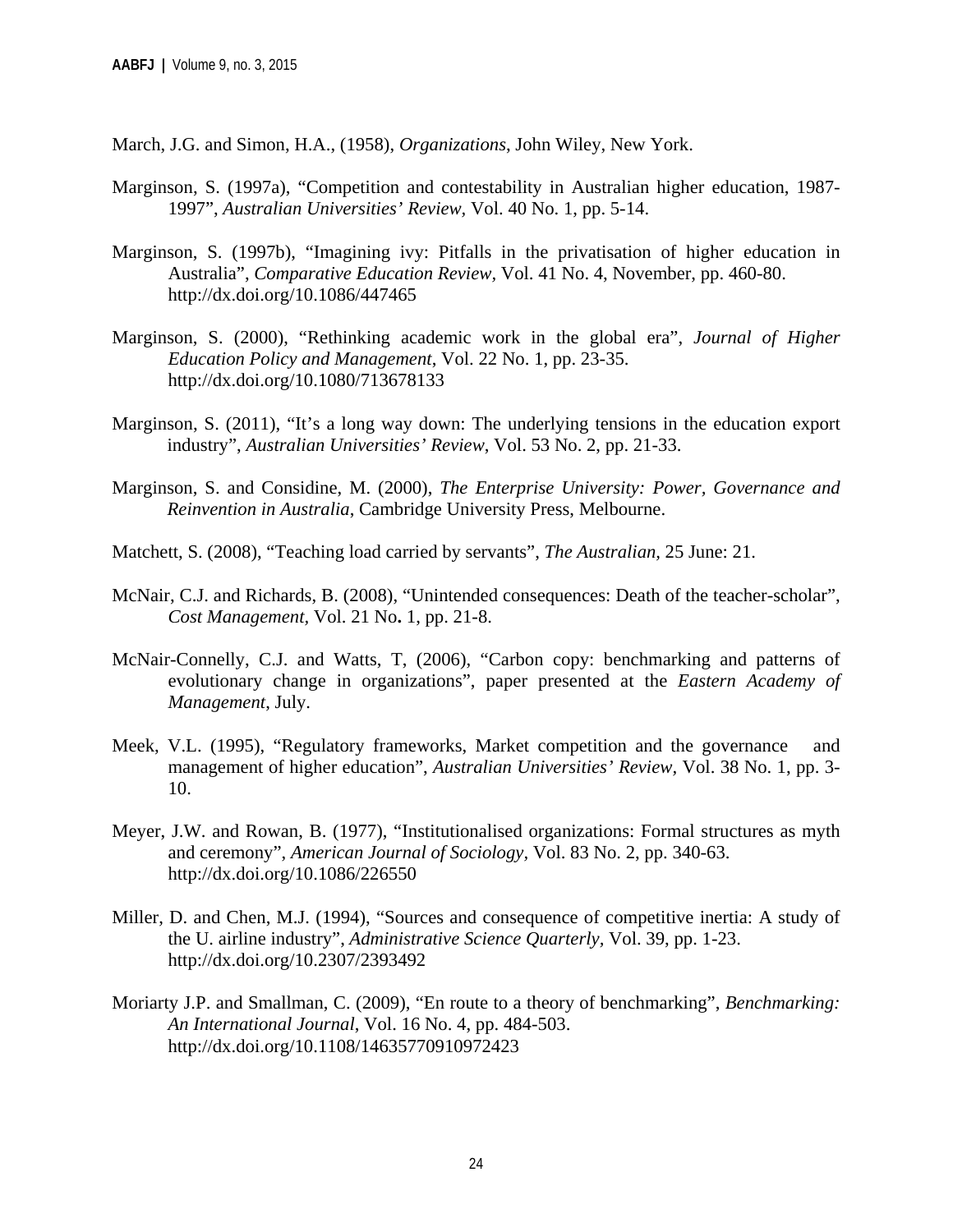March, J.G. and Simon, H.A., (1958), *Organizations*, John Wiley, New York.

- Marginson, S. (1997a), "Competition and contestability in Australian higher education, 1987- 1997", *Australian Universities' Review,* Vol. 40 No. 1, pp. 5-14.
- Marginson, S. (1997b), "Imagining ivy: Pitfalls in the privatisation of higher education in Australia", *Comparative Education Review,* Vol. 41 No. 4, November, pp. 460-80. http://dx.doi.org/10.1086/447465
- Marginson, S. (2000), "Rethinking academic work in the global era", *Journal of Higher Education Policy and Management*, Vol. 22 No. 1, pp. 23-35. http://dx.doi.org/10.1080/713678133
- Marginson, S. (2011), "It's a long way down: The underlying tensions in the education export industry", *Australian Universities' Review*, Vol. 53 No. 2, pp. 21-33.
- Marginson, S. and Considine, M. (2000), *The Enterprise University: Power, Governance and Reinvention in Australia*, Cambridge University Press, Melbourne.
- Matchett, S. (2008), "Teaching load carried by servants", *The Australian,* 25 June: 21.
- McNair, C.J. and Richards, B. (2008), "Unintended consequences: Death of the teacher-scholar", *Cost Management,* Vol. 21 No**.** 1, pp. 21-8.
- McNair-Connelly, C.J. and Watts, T, (2006), "Carbon copy: benchmarking and patterns of evolutionary change in organizations", paper presented at the *Eastern Academy of Management*, July.
- Meek, V.L. (1995), "Regulatory frameworks, Market competition and the governance and management of higher education", *Australian Universities' Review,* Vol. 38 No. 1, pp. 3- 10.
- Meyer, J.W. and Rowan, B. (1977), "Institutionalised organizations: Formal structures as myth and ceremony", *American Journal of Sociology,* Vol. 83 No. 2, pp. 340-63. http://dx.doi.org/10.1086/226550
- Miller, D. and Chen, M.J. (1994), "Sources and consequence of competitive inertia: A study of the U. airline industry", *Administrative Science Quarterly,* Vol. 39, pp. 1-23. http://dx.doi.org/10.2307/2393492
- Moriarty J.P. and Smallman, C. (2009), "En route to a theory of benchmarking", *Benchmarking: An International Journal*, Vol. 16 No. 4, pp. 484-503. http://dx.doi.org/10.1108/14635770910972423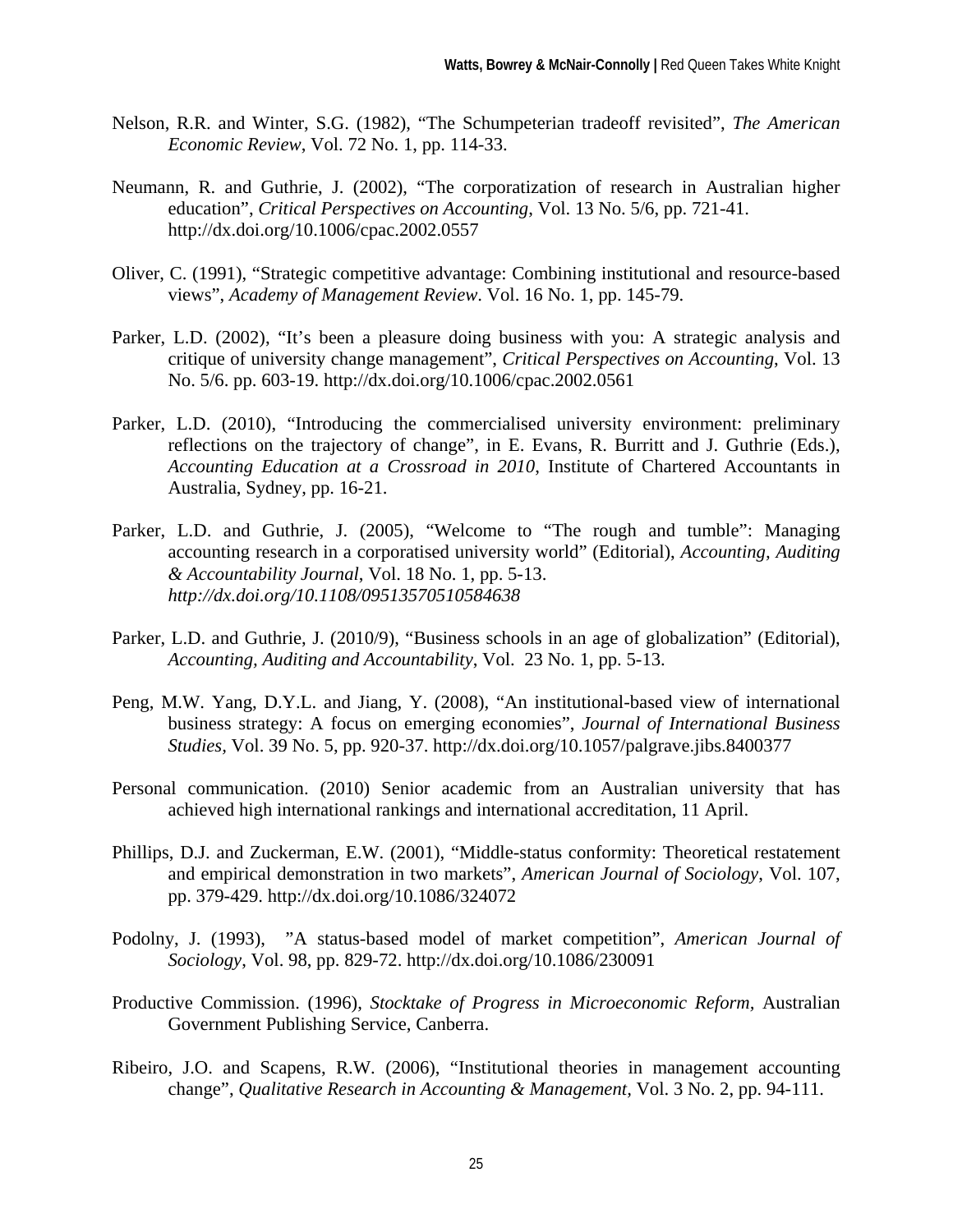- Nelson, R.R. and Winter, S.G. (1982), "The Schumpeterian tradeoff revisited", *The American Economic Review*, Vol. 72 No. 1, pp. 114-33.
- Neumann, R. and Guthrie, J. (2002), "The corporatization of research in Australian higher education", *Critical Perspectives on Accounting*, Vol. 13 No. 5/6, pp. 721-41. http://dx.doi.org/10.1006/cpac.2002.0557
- Oliver, C. (1991), "Strategic competitive advantage: Combining institutional and resource-based views", *Academy of Management Review*. Vol. 16 No. 1, pp. 145-79.
- Parker, L.D. (2002), "It's been a pleasure doing business with you: A strategic analysis and critique of university change management", *Critical Perspectives on Accounting*, Vol. 13 No. 5/6. pp. 603-19. http://dx.doi.org/10.1006/cpac.2002.0561
- Parker, L.D. (2010), "Introducing the commercialised university environment: preliminary reflections on the trajectory of change", in E. Evans, R. Burritt and J. Guthrie (Eds.), *Accounting Education at a Crossroad in 2010*, Institute of Chartered Accountants in Australia, Sydney, pp. 16-21.
- Parker, L.D. and Guthrie, J. (2005), "Welcome to "The rough and tumble": Managing accounting research in a corporatised university world" (Editorial), *Accounting, Auditing & Accountability Journal*, Vol. 18 No. 1, pp. 5-13. *http://dx.doi.org/10.1108/09513570510584638*
- Parker, L.D. and Guthrie, J. (2010/9), "Business schools in an age of globalization" (Editorial), *Accounting, Auditing and Accountability*, Vol. 23 No. 1, pp. 5-13.
- Peng, M.W. Yang, D.Y.L. and Jiang, Y. (2008), "An institutional-based view of international business strategy: A focus on emerging economies", *Journal of International Business Studies,* Vol. 39 No. 5, pp. 920-37. http://dx.doi.org/10.1057/palgrave.jibs.8400377
- Personal communication. (2010) Senior academic from an Australian university that has achieved high international rankings and international accreditation, 11 April.
- Phillips, D.J. and Zuckerman, E.W. (2001), "Middle-status conformity: Theoretical restatement and empirical demonstration in two markets", *American Journal of Sociology*, Vol. 107, pp. 379-429. http://dx.doi.org/10.1086/324072
- Podolny, J. (1993), "A status-based model of market competition", *American Journal of Sociology*, Vol. 98, pp. 829-72. http://dx.doi.org/10.1086/230091
- Productive Commission. (1996), *Stocktake of Progress in Microeconomic Reform,* Australian Government Publishing Service, Canberra.
- Ribeiro, J.O. and Scapens, R.W. (2006), "Institutional theories in management accounting change", *Qualitative Research in Accounting & Management,* Vol. 3 No. 2, pp. 94-111.